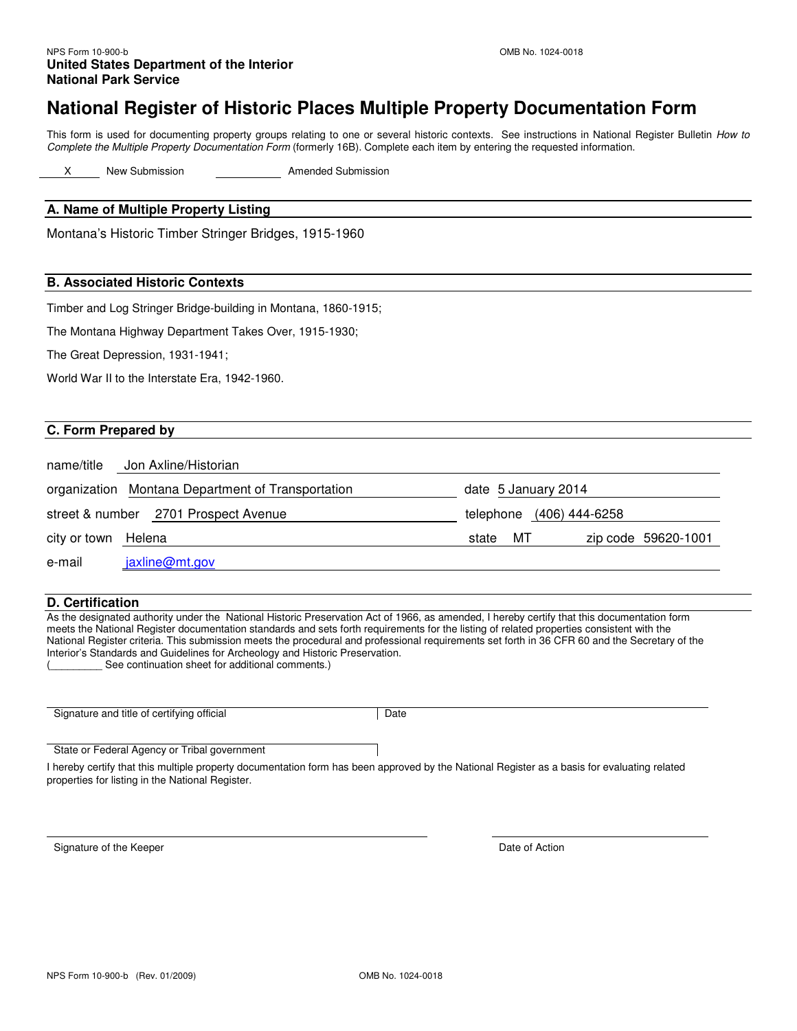## **National Register of Historic Places Multiple Property Documentation Form**

This form is used for documenting property groups relating to one or several historic contexts. See instructions in National Register Bulletin How to Complete the Multiple Property Documentation Form (formerly 16B). Complete each item by entering the requested information.

X New Submission **Amended Submission** 

#### **A. Name of Multiple Property Listing**

Montana's Historic Timber Stringer Bridges, 1915-1960

#### **B. Associated Historic Contexts**

Timber and Log Stringer Bridge-building in Montana, 1860-1915;

The Montana Highway Department Takes Over, 1915-1930;

The Great Depression, 1931-1941;

World War II to the Interstate Era, 1942-1960.

#### **C. Form Prepared by**

| Jon Axline/Historian<br>name/title                |                                    |
|---------------------------------------------------|------------------------------------|
| organization Montana Department of Transportation | date 5 January 2014                |
| street & number 2701 Prospect Avenue              | telephone (406) 444-6258           |
| city or town Helena                               | zip code 59620-1001<br>MТ<br>state |
| jaxline@mt.gov<br>e-mail                          |                                    |

#### **D. Certification**

As the designated authority under the National Historic Preservation Act of 1966, as amended, I hereby certify that this documentation form meets the National Register documentation standards and sets forth requirements for the listing of related properties consistent with the National Register criteria. This submission meets the procedural and professional requirements set forth in 36 CFR 60 and the Secretary of the Interior's Standards and Guidelines for Archeology and Historic Preservation. See continuation sheet for additional comments.)

Signature and title of certifying official **Date** Date

State or Federal Agency or Tribal government

I hereby certify that this multiple property documentation form has been approved by the National Register as a basis for evaluating related properties for listing in the National Register.

Signature of the Keeper **Date of Action**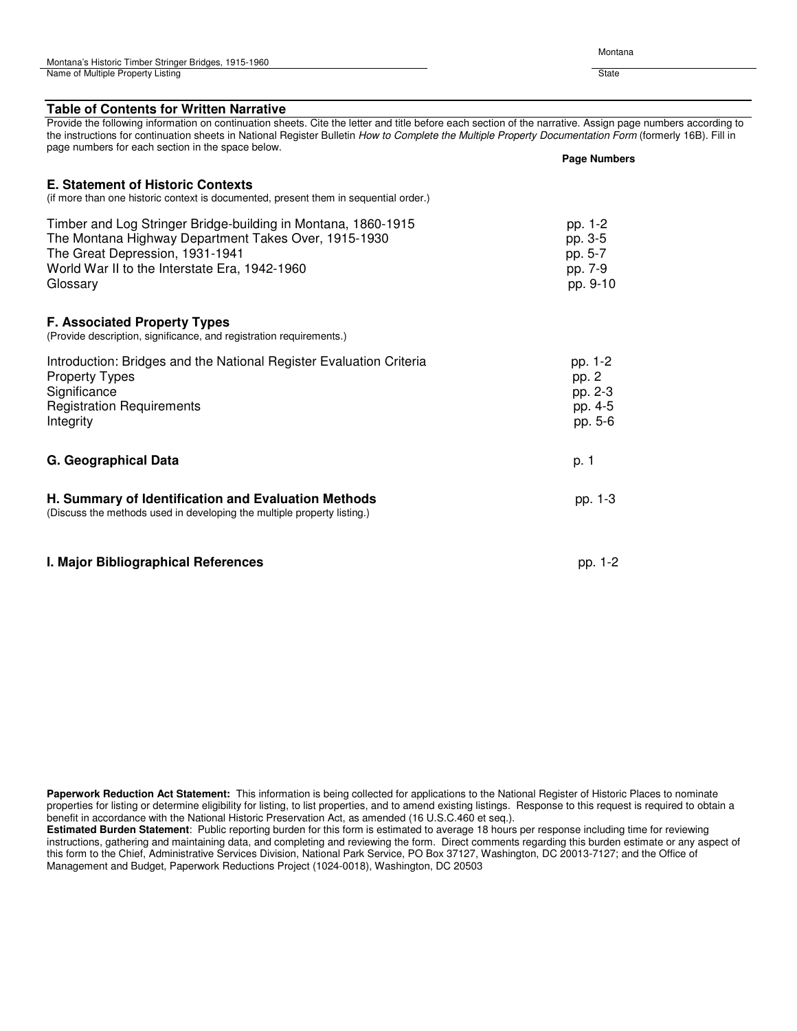| Montana's Historic Timber Stringer Bridges, 1915-1960 |       |
|-------------------------------------------------------|-------|
| Name of Multiple Property Listing                     | State |

Montana

| <b>Table of Contents for Written Narrative</b>                                                                                                                                                                                                                                                                                                                             |                                                      |  |
|----------------------------------------------------------------------------------------------------------------------------------------------------------------------------------------------------------------------------------------------------------------------------------------------------------------------------------------------------------------------------|------------------------------------------------------|--|
| Provide the following information on continuation sheets. Cite the letter and title before each section of the narrative. Assign page numbers according to<br>the instructions for continuation sheets in National Register Bulletin How to Complete the Multiple Property Documentation Form (formerly 16B). Fill in<br>page numbers for each section in the space below. |                                                      |  |
|                                                                                                                                                                                                                                                                                                                                                                            | <b>Page Numbers</b>                                  |  |
| <b>E. Statement of Historic Contexts</b><br>(if more than one historic context is documented, present them in sequential order.)                                                                                                                                                                                                                                           |                                                      |  |
| Timber and Log Stringer Bridge-building in Montana, 1860-1915<br>The Montana Highway Department Takes Over, 1915-1930<br>The Great Depression, 1931-1941<br>World War II to the Interstate Era, 1942-1960<br>Glossary                                                                                                                                                      | pp. 1-2<br>pp. 3-5<br>pp. 5-7<br>pp. 7-9<br>pp. 9-10 |  |
| <b>F. Associated Property Types</b><br>(Provide description, significance, and registration requirements.)                                                                                                                                                                                                                                                                 |                                                      |  |
| Introduction: Bridges and the National Register Evaluation Criteria<br><b>Property Types</b><br>Significance<br><b>Registration Requirements</b><br>Integrity                                                                                                                                                                                                              | pp. 1-2<br>pp. 2<br>pp. 2-3<br>pp. 4-5<br>pp. 5-6    |  |
| G. Geographical Data                                                                                                                                                                                                                                                                                                                                                       | p. 1                                                 |  |
| H. Summary of Identification and Evaluation Methods<br>(Discuss the methods used in developing the multiple property listing.)                                                                                                                                                                                                                                             | pp. 1-3                                              |  |
| I. Major Bibliographical References                                                                                                                                                                                                                                                                                                                                        | pp. 1-2                                              |  |

**Paperwork Reduction Act Statement:** This information is being collected for applications to the National Register of Historic Places to nominate properties for listing or determine eligibility for listing, to list properties, and to amend existing listings. Response to this request is required to obtain a benefit in accordance with the National Historic Preservation Act, as amended (16 U.S.C.460 et seq.).

**Estimated Burden Statement**: Public reporting burden for this form is estimated to average 18 hours per response including time for reviewing instructions, gathering and maintaining data, and completing and reviewing the form. Direct comments regarding this burden estimate or any aspect of this form to the Chief, Administrative Services Division, National Park Service, PO Box 37127, Washington, DC 20013-7127; and the Office of Management and Budget, Paperwork Reductions Project (1024-0018), Washington, DC 20503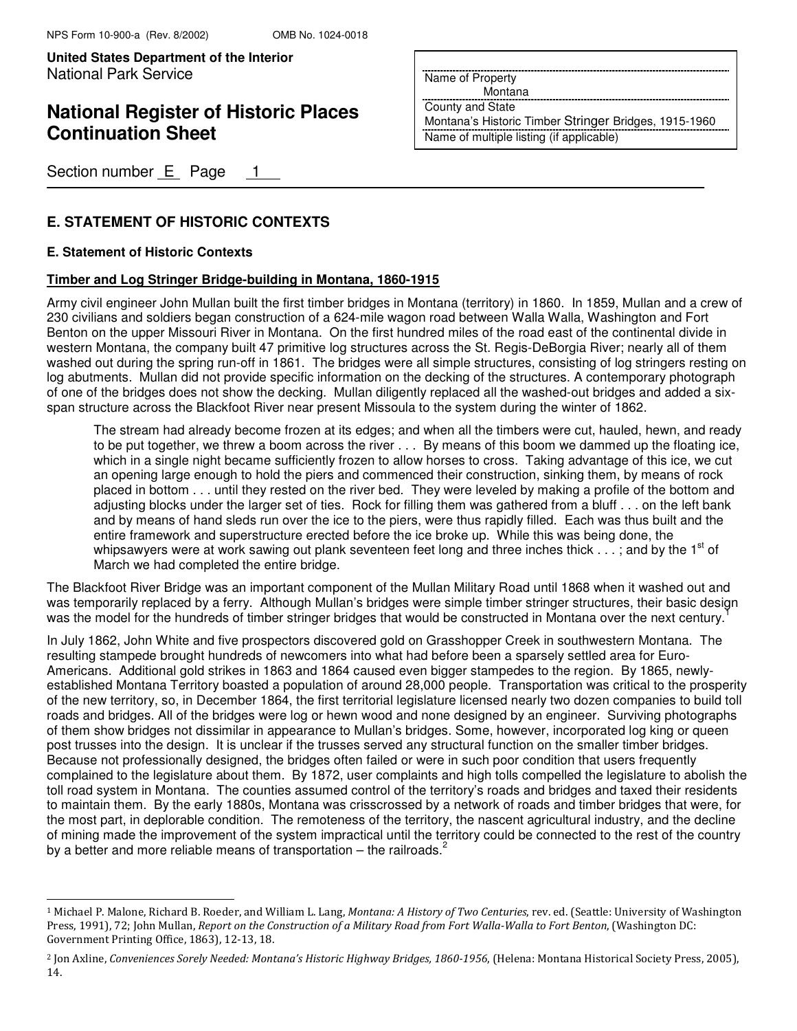# **National Register of Historic Places Continuation Sheet**

Section number  $E$  Page 1

## **E. STATEMENT OF HISTORIC CONTEXTS**

### **E. Statement of Historic Contexts**

j.

### **Timber and Log Stringer Bridge-building in Montana, 1860-1915**

Army civil engineer John Mullan built the first timber bridges in Montana (territory) in 1860. In 1859, Mullan and a crew of 230 civilians and soldiers began construction of a 624-mile wagon road between Walla Walla, Washington and Fort Benton on the upper Missouri River in Montana. On the first hundred miles of the road east of the continental divide in western Montana, the company built 47 primitive log structures across the St. Regis-DeBorgia River; nearly all of them washed out during the spring run-off in 1861. The bridges were all simple structures, consisting of log stringers resting on log abutments. Mullan did not provide specific information on the decking of the structures. A contemporary photograph of one of the bridges does not show the decking. Mullan diligently replaced all the washed-out bridges and added a sixspan structure across the Blackfoot River near present Missoula to the system during the winter of 1862.

The stream had already become frozen at its edges; and when all the timbers were cut, hauled, hewn, and ready to be put together, we threw a boom across the river . . . By means of this boom we dammed up the floating ice, which in a single night became sufficiently frozen to allow horses to cross. Taking advantage of this ice, we cut an opening large enough to hold the piers and commenced their construction, sinking them, by means of rock placed in bottom . . . until they rested on the river bed. They were leveled by making a profile of the bottom and adjusting blocks under the larger set of ties. Rock for filling them was gathered from a bluff . . . on the left bank and by means of hand sleds run over the ice to the piers, were thus rapidly filled. Each was thus built and the entire framework and superstructure erected before the ice broke up. While this was being done, the whipsawyers were at work sawing out plank seventeen feet long and three inches thick  $\dots$ ; and by the 1<sup>st</sup> of March we had completed the entire bridge.

The Blackfoot River Bridge was an important component of the Mullan Military Road until 1868 when it washed out and was temporarily replaced by a ferry. Although Mullan's bridges were simple timber stringer structures, their basic design was the model for the hundreds of timber stringer bridges that would be constructed in Montana over the next century.<sup>1</sup>

In July 1862, John White and five prospectors discovered gold on Grasshopper Creek in southwestern Montana. The resulting stampede brought hundreds of newcomers into what had before been a sparsely settled area for Euro-Americans. Additional gold strikes in 1863 and 1864 caused even bigger stampedes to the region. By 1865, newlyestablished Montana Territory boasted a population of around 28,000 people. Transportation was critical to the prosperity of the new territory, so, in December 1864, the first territorial legislature licensed nearly two dozen companies to build toll roads and bridges. All of the bridges were log or hewn wood and none designed by an engineer. Surviving photographs of them show bridges not dissimilar in appearance to Mullan's bridges. Some, however, incorporated log king or queen post trusses into the design. It is unclear if the trusses served any structural function on the smaller timber bridges. Because not professionally designed, the bridges often failed or were in such poor condition that users frequently complained to the legislature about them. By 1872, user complaints and high tolls compelled the legislature to abolish the toll road system in Montana. The counties assumed control of the territory's roads and bridges and taxed their residents to maintain them. By the early 1880s, Montana was crisscrossed by a network of roads and timber bridges that were, for the most part, in deplorable condition. The remoteness of the territory, the nascent agricultural industry, and the decline of mining made the improvement of the system impractical until the territory could be connected to the rest of the country by a better and more reliable means of transportation – the railroads. $2^2$ 

Name of Property

Montana

County and State

Montana's Historic Timber Stringer Bridges, 1915-1960 Name of multiple listing (if applicable)

<sup>&</sup>lt;sup>1</sup> Michael P. Malone, Richard B. Roeder, and William L. Lang, *Montana: A History of Two Centuries*, rev. ed. (Seattle: University of Washington Press, 1991), 72; John Mullan, Report on the Construction of a Military Road from Fort Walla-Walla to Fort Benton, (Washington DC: Government Printing Office, 1863), 12-13, 18.

<sup>&</sup>lt;sup>2</sup> Jon Axline, Conveniences Sorely Needed: Montana's Historic Highway Bridges, 1860-1956, (Helena: Montana Historical Society Press, 2005), 14.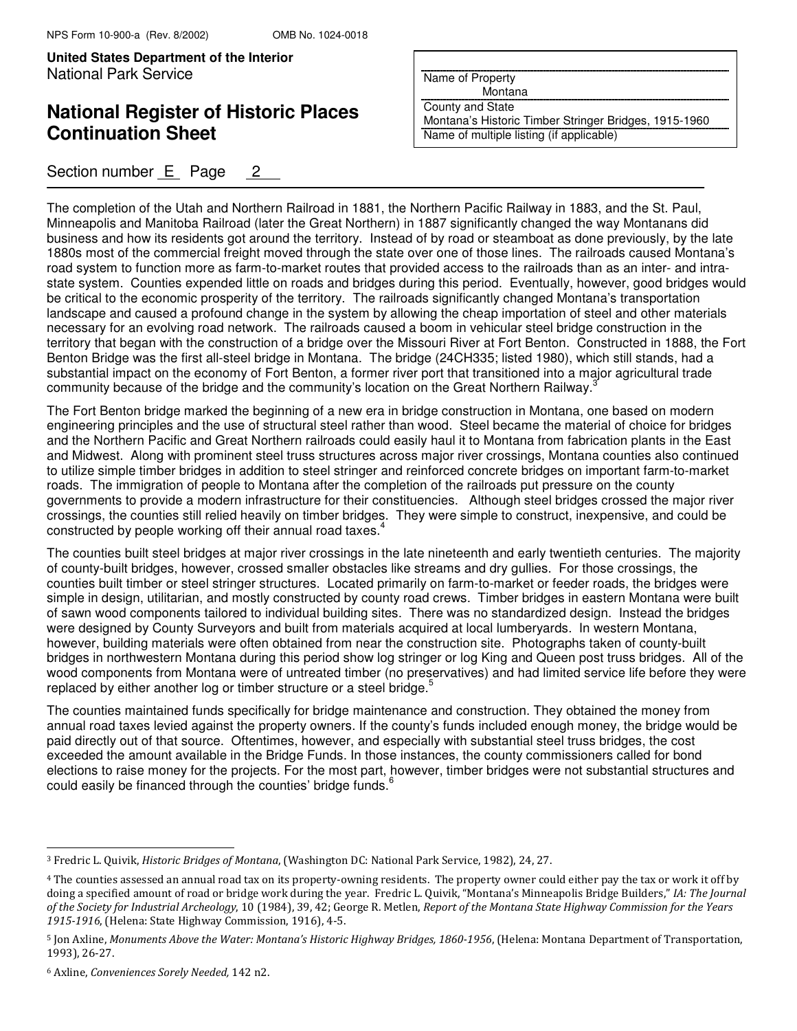## **National Register of Historic Places Continuation Sheet**

### Section number E Page 2

Name of Property

Montana

County and State Montana's Historic Timber Stringer Bridges, 1915-1960

Name of multiple listing (if applicable)

The completion of the Utah and Northern Railroad in 1881, the Northern Pacific Railway in 1883, and the St. Paul, Minneapolis and Manitoba Railroad (later the Great Northern) in 1887 significantly changed the way Montanans did business and how its residents got around the territory. Instead of by road or steamboat as done previously, by the late 1880s most of the commercial freight moved through the state over one of those lines. The railroads caused Montana's road system to function more as farm-to-market routes that provided access to the railroads than as an inter- and intrastate system. Counties expended little on roads and bridges during this period. Eventually, however, good bridges would be critical to the economic prosperity of the territory. The railroads significantly changed Montana's transportation landscape and caused a profound change in the system by allowing the cheap importation of steel and other materials necessary for an evolving road network. The railroads caused a boom in vehicular steel bridge construction in the territory that began with the construction of a bridge over the Missouri River at Fort Benton. Constructed in 1888, the Fort Benton Bridge was the first all-steel bridge in Montana. The bridge (24CH335; listed 1980), which still stands, had a substantial impact on the economy of Fort Benton, a former river port that transitioned into a major agricultural trade community because of the bridge and the community's location on the Great Northern Railway.<sup>3</sup>

The Fort Benton bridge marked the beginning of a new era in bridge construction in Montana, one based on modern engineering principles and the use of structural steel rather than wood. Steel became the material of choice for bridges and the Northern Pacific and Great Northern railroads could easily haul it to Montana from fabrication plants in the East and Midwest. Along with prominent steel truss structures across major river crossings, Montana counties also continued to utilize simple timber bridges in addition to steel stringer and reinforced concrete bridges on important farm-to-market roads. The immigration of people to Montana after the completion of the railroads put pressure on the county governments to provide a modern infrastructure for their constituencies. Although steel bridges crossed the major river crossings, the counties still relied heavily on timber bridges. They were simple to construct, inexpensive, and could be constructed by people working off their annual road taxes.<sup>4</sup>

The counties built steel bridges at major river crossings in the late nineteenth and early twentieth centuries. The majority of county-built bridges, however, crossed smaller obstacles like streams and dry gullies. For those crossings, the counties built timber or steel stringer structures. Located primarily on farm-to-market or feeder roads, the bridges were simple in design, utilitarian, and mostly constructed by county road crews. Timber bridges in eastern Montana were built of sawn wood components tailored to individual building sites. There was no standardized design. Instead the bridges were designed by County Surveyors and built from materials acquired at local lumberyards. In western Montana, however, building materials were often obtained from near the construction site. Photographs taken of county-built bridges in northwestern Montana during this period show log stringer or log King and Queen post truss bridges. All of the wood components from Montana were of untreated timber (no preservatives) and had limited service life before they were replaced by either another log or timber structure or a steel bridge.<sup>5</sup>

The counties maintained funds specifically for bridge maintenance and construction. They obtained the money from annual road taxes levied against the property owners. If the county's funds included enough money, the bridge would be paid directly out of that source. Oftentimes, however, and especially with substantial steel truss bridges, the cost exceeded the amount available in the Bridge Funds. In those instances, the county commissioners called for bond elections to raise money for the projects. For the most part, however, timber bridges were not substantial structures and could easily be financed through the counties' bridge funds.<sup>6</sup>

 $\overline{a}$ 

<sup>3</sup> Fredric L. Quivik, Historic Bridges of Montana, (Washington DC: National Park Service, 1982), 24, 27.

<sup>4</sup> The counties assessed an annual road tax on its property-owning residents. The property owner could either pay the tax or work it off by doing a specified amount of road or bridge work during the year. Fredric L. Quivik, "Montana's Minneapolis Bridge Builders," IA: The Journal of the Society for Industrial Archeology, 10 (1984), 39, 42; George R. Metlen, Report of the Montana State Highway Commission for the Years 1915-1916, (Helena: State Highway Commission, 1916), 4-5.

<sup>5</sup> Jon Axline, Monuments Above the Water: Montana's Historic Highway Bridges, 1860-1956, (Helena: Montana Department of Transportation, 1993), 26-27.

<sup>6</sup> Axline, Conveniences Sorely Needed, 142 n2.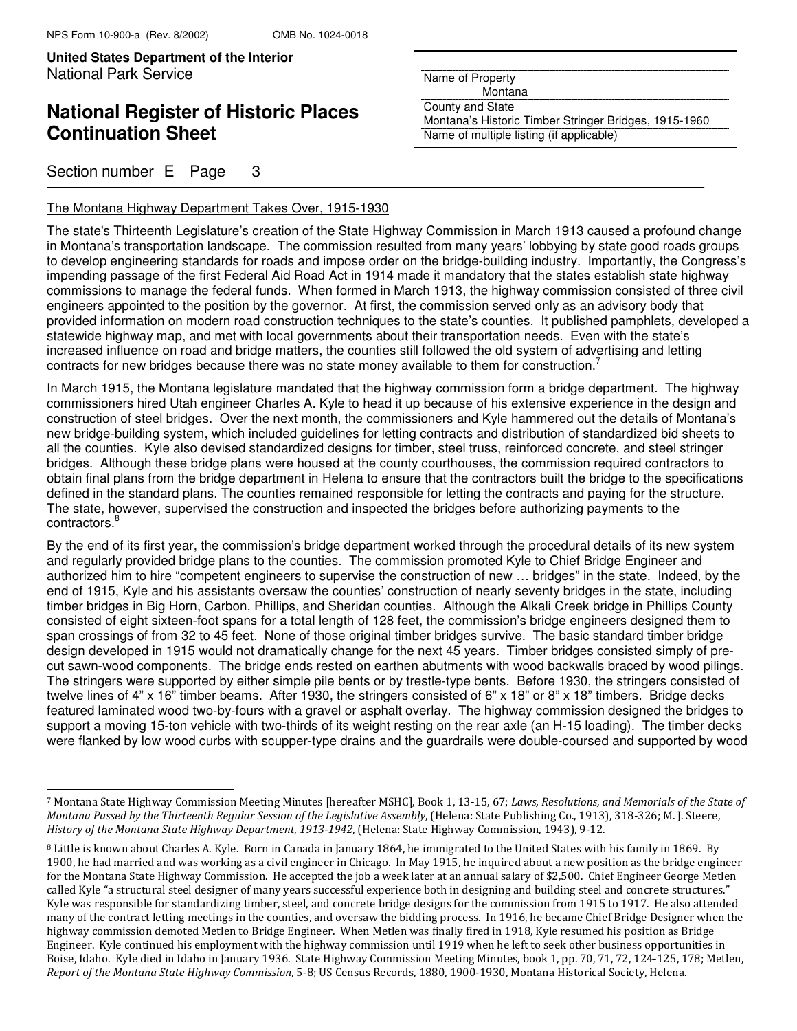j.

**United States Department of the Interior Put Here are all Put Here in Put Here in Put Here are all Put Here i** National Park Service

## **National Register of Historic Places Continuation Sheet**

### Section number E Page 3

#### The Montana Highway Department Takes Over, 1915-1930

Name of Property

Montana

County and State

Montana's Historic Timber Stringer Bridges, 1915-1960 Name of multiple listing (if applicable)

The state's Thirteenth Legislature's creation of the State Highway Commission in March 1913 caused a profound change in Montana's transportation landscape. The commission resulted from many years' lobbying by state good roads groups to develop engineering standards for roads and impose order on the bridge-building industry. Importantly, the Congress's impending passage of the first Federal Aid Road Act in 1914 made it mandatory that the states establish state highway commissions to manage the federal funds. When formed in March 1913, the highway commission consisted of three civil engineers appointed to the position by the governor. At first, the commission served only as an advisory body that provided information on modern road construction techniques to the state's counties. It published pamphlets, developed a statewide highway map, and met with local governments about their transportation needs. Even with the state's increased influence on road and bridge matters, the counties still followed the old system of advertising and letting contracts for new bridges because there was no state money available to them for construction.<sup>7</sup>

In March 1915, the Montana legislature mandated that the highway commission form a bridge department. The highway commissioners hired Utah engineer Charles A. Kyle to head it up because of his extensive experience in the design and construction of steel bridges. Over the next month, the commissioners and Kyle hammered out the details of Montana's new bridge-building system, which included guidelines for letting contracts and distribution of standardized bid sheets to all the counties. Kyle also devised standardized designs for timber, steel truss, reinforced concrete, and steel stringer bridges. Although these bridge plans were housed at the county courthouses, the commission required contractors to obtain final plans from the bridge department in Helena to ensure that the contractors built the bridge to the specifications defined in the standard plans. The counties remained responsible for letting the contracts and paying for the structure. The state, however, supervised the construction and inspected the bridges before authorizing payments to the contractors.<sup>8</sup>

By the end of its first year, the commission's bridge department worked through the procedural details of its new system and regularly provided bridge plans to the counties. The commission promoted Kyle to Chief Bridge Engineer and authorized him to hire "competent engineers to supervise the construction of new … bridges" in the state. Indeed, by the end of 1915, Kyle and his assistants oversaw the counties' construction of nearly seventy bridges in the state, including timber bridges in Big Horn, Carbon, Phillips, and Sheridan counties. Although the Alkali Creek bridge in Phillips County consisted of eight sixteen-foot spans for a total length of 128 feet, the commission's bridge engineers designed them to span crossings of from 32 to 45 feet. None of those original timber bridges survive. The basic standard timber bridge design developed in 1915 would not dramatically change for the next 45 years. Timber bridges consisted simply of precut sawn-wood components. The bridge ends rested on earthen abutments with wood backwalls braced by wood pilings. The stringers were supported by either simple pile bents or by trestle-type bents. Before 1930, the stringers consisted of twelve lines of 4" x 16" timber beams. After 1930, the stringers consisted of 6" x 18" or 8" x 18" timbers. Bridge decks featured laminated wood two-by-fours with a gravel or asphalt overlay. The highway commission designed the bridges to support a moving 15-ton vehicle with two-thirds of its weight resting on the rear axle (an H-15 loading). The timber decks were flanked by low wood curbs with scupper-type drains and the guardrails were double-coursed and supported by wood

<sup>7</sup> Montana State Highway Commission Meeting Minutes [hereafter MSHC], Book 1, 13-15, 67; Laws, Resolutions, and Memorials of the State of Montana Passed by the Thirteenth Regular Session of the Legislative Assembly, (Helena: State Publishing Co., 1913), 318-326; M. J. Steere, History of the Montana State Highway Department, 1913-1942, (Helena: State Highway Commission, 1943), 9-12.

<sup>8</sup> Little is known about Charles A. Kyle. Born in Canada in January 1864, he immigrated to the United States with his family in 1869. By 1900, he had married and was working as a civil engineer in Chicago. In May 1915, he inquired about a new position as the bridge engineer for the Montana State Highway Commission. He accepted the job a week later at an annual salary of \$2,500. Chief Engineer George Metlen called Kyle "a structural steel designer of many years successful experience both in designing and building steel and concrete structures." Kyle was responsible for standardizing timber, steel, and concrete bridge designs for the commission from 1915 to 1917. He also attended many of the contract letting meetings in the counties, and oversaw the bidding process. In 1916, he became Chief Bridge Designer when the highway commission demoted Metlen to Bridge Engineer. When Metlen was finally fired in 1918, Kyle resumed his position as Bridge Engineer. Kyle continued his employment with the highway commission until 1919 when he left to seek other business opportunities in Boise, Idaho. Kyle died in Idaho in January 1936. State Highway Commission Meeting Minutes, book 1, pp. 70, 71, 72, 124-125, 178; Metlen, Report of the Montana State Highway Commission, 5-8; US Census Records, 1880, 1900-1930, Montana Historical Society, Helena.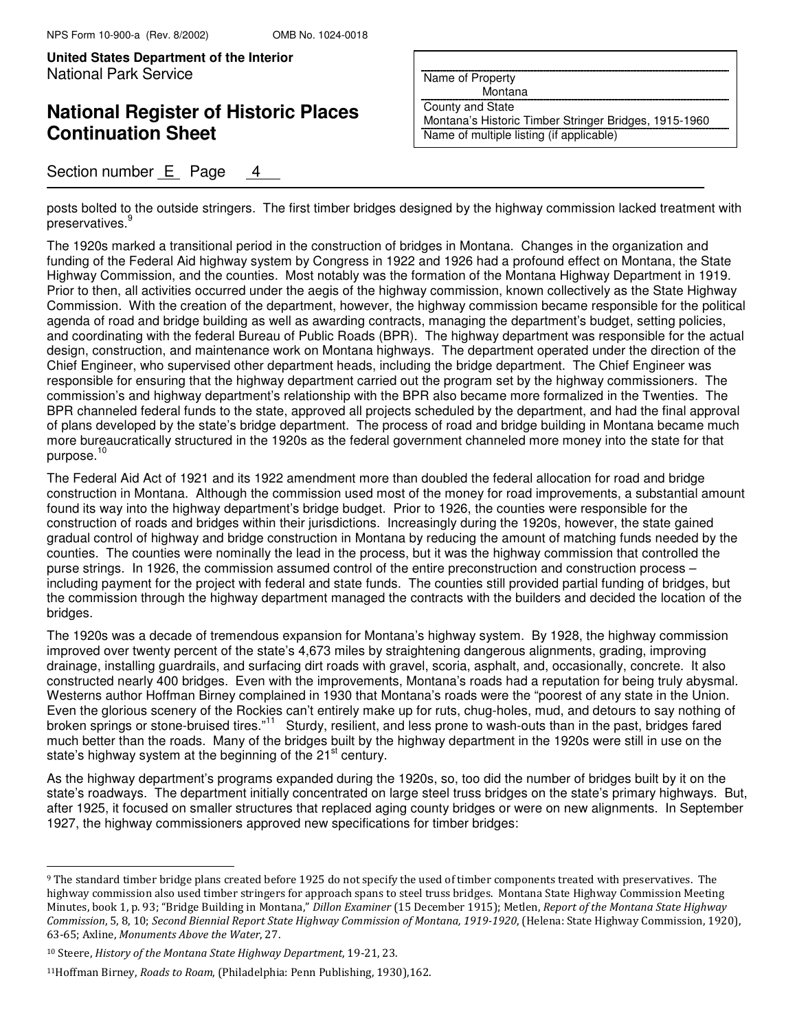# **National Register of Historic Places Continuation Sheet**

## Section number E Page 4

Name of Property

Montana

County and State Montana's Historic Timber Stringer Bridges, 1915-1960 Name of multiple listing (if applicable)

posts bolted to the outside stringers. The first timber bridges designed by the highway commission lacked treatment with .<br>preservatives.<sup>9</sup>

The 1920s marked a transitional period in the construction of bridges in Montana. Changes in the organization and funding of the Federal Aid highway system by Congress in 1922 and 1926 had a profound effect on Montana, the State Highway Commission, and the counties. Most notably was the formation of the Montana Highway Department in 1919. Prior to then, all activities occurred under the aegis of the highway commission, known collectively as the State Highway Commission. With the creation of the department, however, the highway commission became responsible for the political agenda of road and bridge building as well as awarding contracts, managing the department's budget, setting policies, and coordinating with the federal Bureau of Public Roads (BPR). The highway department was responsible for the actual design, construction, and maintenance work on Montana highways. The department operated under the direction of the Chief Engineer, who supervised other department heads, including the bridge department. The Chief Engineer was responsible for ensuring that the highway department carried out the program set by the highway commissioners. The commission's and highway department's relationship with the BPR also became more formalized in the Twenties. The BPR channeled federal funds to the state, approved all projects scheduled by the department, and had the final approval of plans developed by the state's bridge department. The process of road and bridge building in Montana became much more bureaucratically structured in the 1920s as the federal government channeled more money into the state for that purpose. $<sup>1</sup>$ </sup>

The Federal Aid Act of 1921 and its 1922 amendment more than doubled the federal allocation for road and bridge construction in Montana. Although the commission used most of the money for road improvements, a substantial amount found its way into the highway department's bridge budget. Prior to 1926, the counties were responsible for the construction of roads and bridges within their jurisdictions. Increasingly during the 1920s, however, the state gained gradual control of highway and bridge construction in Montana by reducing the amount of matching funds needed by the counties. The counties were nominally the lead in the process, but it was the highway commission that controlled the purse strings. In 1926, the commission assumed control of the entire preconstruction and construction process – including payment for the project with federal and state funds. The counties still provided partial funding of bridges, but the commission through the highway department managed the contracts with the builders and decided the location of the bridges.

The 1920s was a decade of tremendous expansion for Montana's highway system. By 1928, the highway commission improved over twenty percent of the state's 4,673 miles by straightening dangerous alignments, grading, improving drainage, installing guardrails, and surfacing dirt roads with gravel, scoria, asphalt, and, occasionally, concrete. It also constructed nearly 400 bridges. Even with the improvements, Montana's roads had a reputation for being truly abysmal. Westerns author Hoffman Birney complained in 1930 that Montana's roads were the "poorest of any state in the Union. Even the glorious scenery of the Rockies can't entirely make up for ruts, chug-holes, mud, and detours to say nothing of broken springs or stone-bruised tires."<sup>11</sup> Sturdy, resilient, and less prone to wash-outs than in the past, bridges fared much better than the roads. Many of the bridges built by the highway department in the 1920s were still in use on the state's highway system at the beginning of the 21<sup>st</sup> century.

As the highway department's programs expanded during the 1920s, so, too did the number of bridges built by it on the state's roadways. The department initially concentrated on large steel truss bridges on the state's primary highways. But, after 1925, it focused on smaller structures that replaced aging county bridges or were on new alignments. In September 1927, the highway commissioners approved new specifications for timber bridges:

j.

<sup>9</sup> The standard timber bridge plans created before 1925 do not specify the used of timber components treated with preservatives. The highway commission also used timber stringers for approach spans to steel truss bridges. Montana State Highway Commission Meeting Minutes, book 1, p. 93; "Bridge Building in Montana," Dillon Examiner (15 December 1915); Metlen, Report of the Montana State Highway Commission, 5, 8, 10; Second Biennial Report State Highway Commission of Montana, 1919-1920, (Helena: State Highway Commission, 1920), 63-65; Axline, Monuments Above the Water, 27.

<sup>10</sup> Steere, History of the Montana State Highway Department, 19-21, 23.

<sup>11</sup>Hoffman Birney, Roads to Roam, (Philadelphia: Penn Publishing, 1930),162.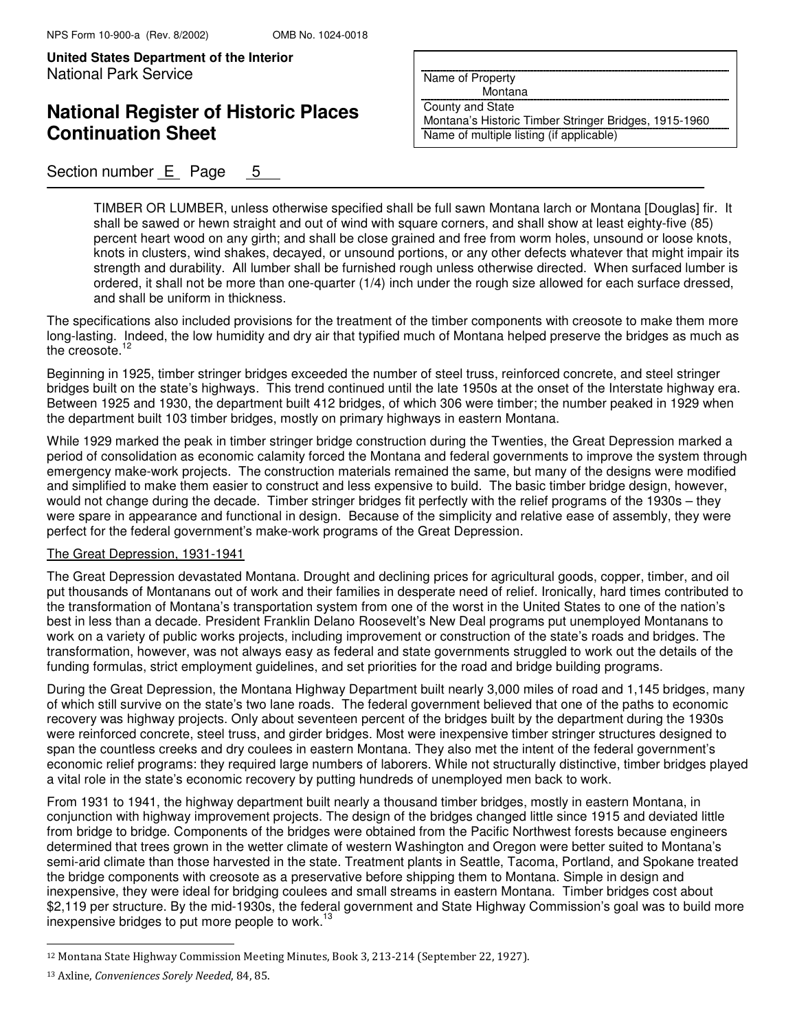**United States Department of the Interior Put Here are all Put Here in Put Here in Put Here are all Put Here i** National Park Service

## **National Register of Historic Places Continuation Sheet**

### Section number  $E$  Page 5

Name of Property

Montana

County and State Montana's Historic Timber Stringer Bridges, 1915-1960

Name of multiple listing (if applicable)

TIMBER OR LUMBER, unless otherwise specified shall be full sawn Montana larch or Montana [Douglas] fir. It shall be sawed or hewn straight and out of wind with square corners, and shall show at least eighty-five (85) percent heart wood on any girth; and shall be close grained and free from worm holes, unsound or loose knots, knots in clusters, wind shakes, decayed, or unsound portions, or any other defects whatever that might impair its strength and durability. All lumber shall be furnished rough unless otherwise directed. When surfaced lumber is ordered, it shall not be more than one-quarter (1/4) inch under the rough size allowed for each surface dressed, and shall be uniform in thickness.

The specifications also included provisions for the treatment of the timber components with creosote to make them more long-lasting. Indeed, the low humidity and dry air that typified much of Montana helped preserve the bridges as much as the creosote.<sup>12</sup>

Beginning in 1925, timber stringer bridges exceeded the number of steel truss, reinforced concrete, and steel stringer bridges built on the state's highways. This trend continued until the late 1950s at the onset of the Interstate highway era. Between 1925 and 1930, the department built 412 bridges, of which 306 were timber; the number peaked in 1929 when the department built 103 timber bridges, mostly on primary highways in eastern Montana.

While 1929 marked the peak in timber stringer bridge construction during the Twenties, the Great Depression marked a period of consolidation as economic calamity forced the Montana and federal governments to improve the system through emergency make-work projects. The construction materials remained the same, but many of the designs were modified and simplified to make them easier to construct and less expensive to build. The basic timber bridge design, however, would not change during the decade. Timber stringer bridges fit perfectly with the relief programs of the 1930s – they were spare in appearance and functional in design. Because of the simplicity and relative ease of assembly, they were perfect for the federal government's make-work programs of the Great Depression.

#### The Great Depression, 1931-1941

The Great Depression devastated Montana. Drought and declining prices for agricultural goods, copper, timber, and oil put thousands of Montanans out of work and their families in desperate need of relief. Ironically, hard times contributed to the transformation of Montana's transportation system from one of the worst in the United States to one of the nation's best in less than a decade. President Franklin Delano Roosevelt's New Deal programs put unemployed Montanans to work on a variety of public works projects, including improvement or construction of the state's roads and bridges. The transformation, however, was not always easy as federal and state governments struggled to work out the details of the funding formulas, strict employment guidelines, and set priorities for the road and bridge building programs.

During the Great Depression, the Montana Highway Department built nearly 3,000 miles of road and 1,145 bridges, many of which still survive on the state's two lane roads. The federal government believed that one of the paths to economic recovery was highway projects. Only about seventeen percent of the bridges built by the department during the 1930s were reinforced concrete, steel truss, and girder bridges. Most were inexpensive timber stringer structures designed to span the countless creeks and dry coulees in eastern Montana. They also met the intent of the federal government's economic relief programs: they required large numbers of laborers. While not structurally distinctive, timber bridges played a vital role in the state's economic recovery by putting hundreds of unemployed men back to work.

From 1931 to 1941, the highway department built nearly a thousand timber bridges, mostly in eastern Montana, in conjunction with highway improvement projects. The design of the bridges changed little since 1915 and deviated little from bridge to bridge. Components of the bridges were obtained from the Pacific Northwest forests because engineers determined that trees grown in the wetter climate of western Washington and Oregon were better suited to Montana's semi-arid climate than those harvested in the state. Treatment plants in Seattle, Tacoma, Portland, and Spokane treated the bridge components with creosote as a preservative before shipping them to Montana. Simple in design and inexpensive, they were ideal for bridging coulees and small streams in eastern Montana. Timber bridges cost about \$2,119 per structure. By the mid-1930s, the federal government and State Highway Commission's goal was to build more inexpensive bridges to put more people to work.<sup>13</sup>

L

<sup>12</sup> Montana State Highway Commission Meeting Minutes, Book 3, 213-214 (September 22, 1927).

<sup>13</sup> Axline, Conveniences Sorely Needed, 84, 85.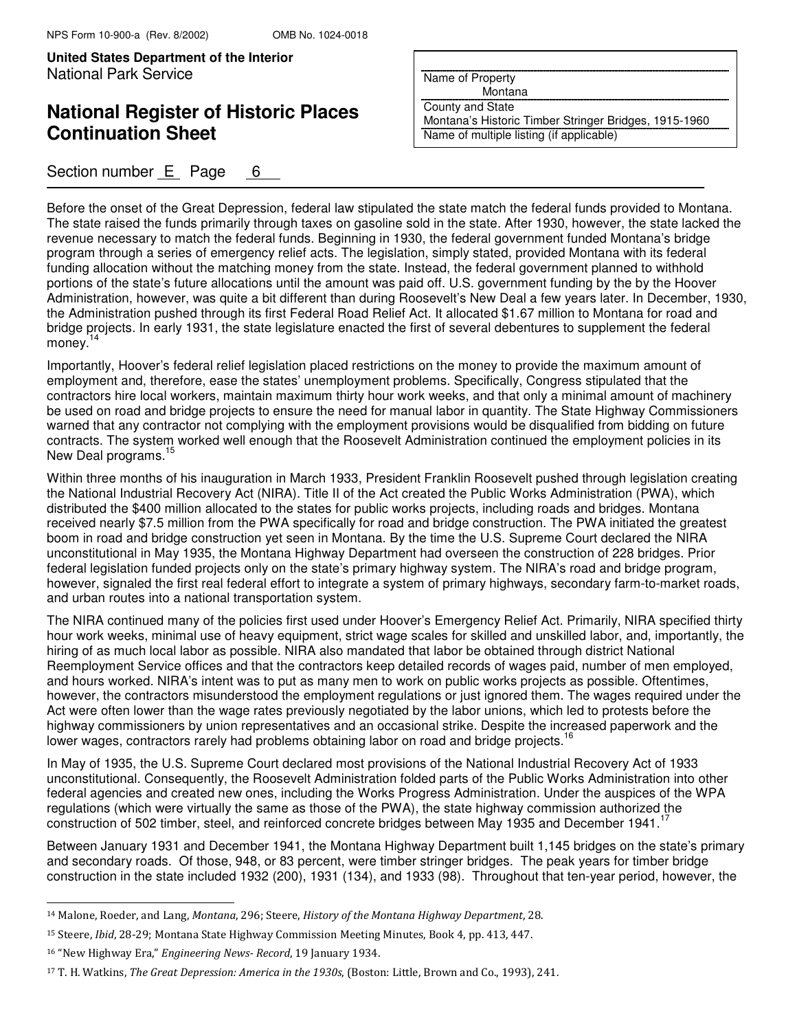## **National Register of Historic Places Continuation Sheet**

### Section number  $E$  Page 6

Name of Property

Montana

County and State

Montana's Historic Timber Stringer Bridges, 1915-1960 Name of multiple listing (if applicable)

Before the onset of the Great Depression, federal law stipulated the state match the federal funds provided to Montana. The state raised the funds primarily through taxes on gasoline sold in the state. After 1930, however, the state lacked the revenue necessary to match the federal funds. Beginning in 1930, the federal government funded Montana's bridge program through a series of emergency relief acts. The legislation, simply stated, provided Montana with its federal funding allocation without the matching money from the state. Instead, the federal government planned to withhold portions of the state's future allocations until the amount was paid off. U.S. government funding by the by the Hoover Administration, however, was quite a bit different than during Roosevelt's New Deal a few years later. In December, 1930, the Administration pushed through its first Federal Road Relief Act. It allocated \$1.67 million to Montana for road and bridge projects. In early 1931, the state legislature enacted the first of several debentures to supplement the federal money. $14$ 

Importantly, Hoover's federal relief legislation placed restrictions on the money to provide the maximum amount of employment and, therefore, ease the states' unemployment problems. Specifically, Congress stipulated that the contractors hire local workers, maintain maximum thirty hour work weeks, and that only a minimal amount of machinery be used on road and bridge projects to ensure the need for manual labor in quantity. The State Highway Commissioners warned that any contractor not complying with the employment provisions would be disqualified from bidding on future contracts. The system worked well enough that the Roosevelt Administration continued the employment policies in its New Deal programs.<sup>1</sup>

Within three months of his inauguration in March 1933, President Franklin Roosevelt pushed through legislation creating the National Industrial Recovery Act (NIRA). Title II of the Act created the Public Works Administration (PWA), which distributed the \$400 million allocated to the states for public works projects, including roads and bridges. Montana received nearly \$7.5 million from the PWA specifically for road and bridge construction. The PWA initiated the greatest boom in road and bridge construction yet seen in Montana. By the time the U.S. Supreme Court declared the NIRA unconstitutional in May 1935, the Montana Highway Department had overseen the construction of 228 bridges. Prior federal legislation funded projects only on the state's primary highway system. The NIRA's road and bridge program, however, signaled the first real federal effort to integrate a system of primary highways, secondary farm-to-market roads, and urban routes into a national transportation system.

The NIRA continued many of the policies first used under Hoover's Emergency Relief Act. Primarily, NIRA specified thirty hour work weeks, minimal use of heavy equipment, strict wage scales for skilled and unskilled labor, and, importantly, the hiring of as much local labor as possible. NIRA also mandated that labor be obtained through district National Reemployment Service offices and that the contractors keep detailed records of wages paid, number of men employed, and hours worked. NIRA's intent was to put as many men to work on public works projects as possible. Oftentimes, however, the contractors misunderstood the employment regulations or just ignored them. The wages required under the Act were often lower than the wage rates previously negotiated by the labor unions, which led to protests before the highway commissioners by union representatives and an occasional strike. Despite the increased paperwork and the lower wages, contractors rarely had problems obtaining labor on road and bridge projects.<sup>1</sup>

In May of 1935, the U.S. Supreme Court declared most provisions of the National Industrial Recovery Act of 1933 unconstitutional. Consequently, the Roosevelt Administration folded parts of the Public Works Administration into other federal agencies and created new ones, including the Works Progress Administration. Under the auspices of the WPA regulations (which were virtually the same as those of the PWA), the state highway commission authorized the construction of 502 timber, steel, and reinforced concrete bridges between May 1935 and December 1941.<sup>17</sup>

Between January 1931 and December 1941, the Montana Highway Department built 1,145 bridges on the state's primary and secondary roads. Of those, 948, or 83 percent, were timber stringer bridges. The peak years for timber bridge construction in the state included 1932 (200), 1931 (134), and 1933 (98). Throughout that ten-year period, however, the

j.

<sup>14</sup> Malone, Roeder, and Lang, Montana, 296; Steere, History of the Montana Highway Department, 28.

<sup>15</sup> Steere, Ibid, 28-29; Montana State Highway Commission Meeting Minutes, Book 4, pp. 413, 447.

<sup>16</sup> "New Highway Era," Engineering News- Record, 19 January 1934.

<sup>17</sup> T. H. Watkins, The Great Depression: America in the 1930s, (Boston: Little, Brown and Co., 1993), 241.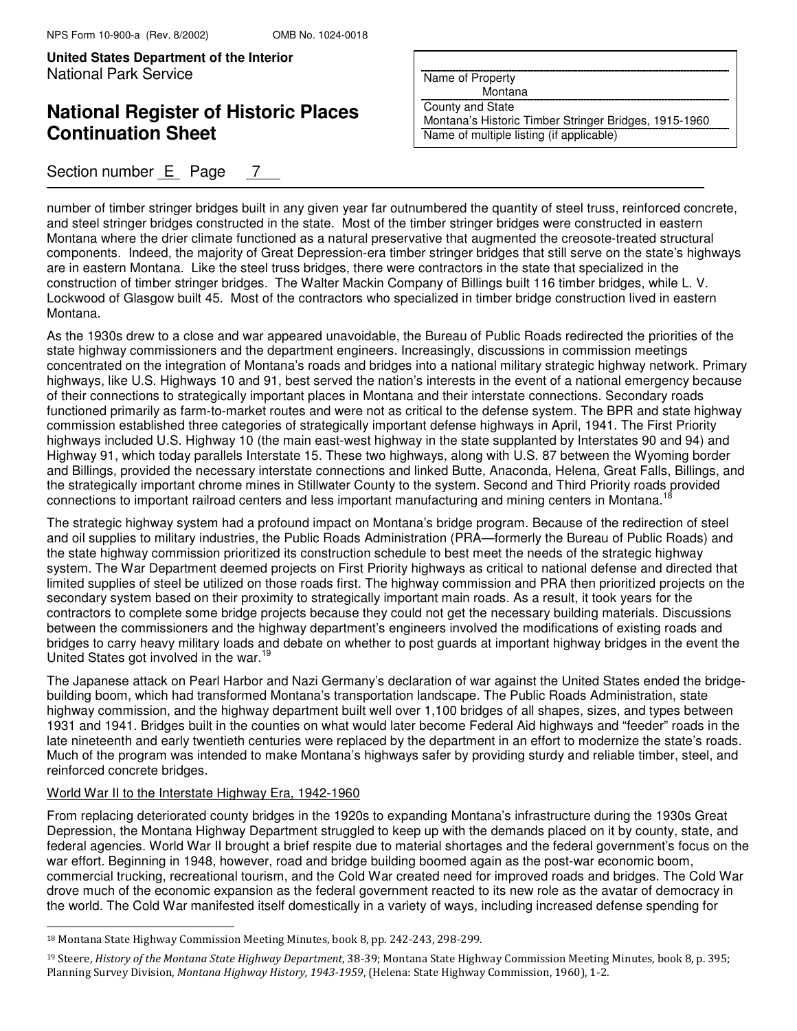# **National Register of Historic Places Continuation Sheet**

## Section number  $E$  Page 7

Name of Property

Montana

County and State

Montana's Historic Timber Stringer Bridges, 1915-1960 Name of multiple listing (if applicable)

number of timber stringer bridges built in any given year far outnumbered the quantity of steel truss, reinforced concrete, and steel stringer bridges constructed in the state. Most of the timber stringer bridges were constructed in eastern Montana where the drier climate functioned as a natural preservative that augmented the creosote-treated structural components. Indeed, the majority of Great Depression-era timber stringer bridges that still serve on the state's highways are in eastern Montana. Like the steel truss bridges, there were contractors in the state that specialized in the construction of timber stringer bridges. The Walter Mackin Company of Billings built 116 timber bridges, while L. V. Lockwood of Glasgow built 45. Most of the contractors who specialized in timber bridge construction lived in eastern Montana.

As the 1930s drew to a close and war appeared unavoidable, the Bureau of Public Roads redirected the priorities of the state highway commissioners and the department engineers. Increasingly, discussions in commission meetings concentrated on the integration of Montana's roads and bridges into a national military strategic highway network. Primary highways, like U.S. Highways 10 and 91, best served the nation's interests in the event of a national emergency because of their connections to strategically important places in Montana and their interstate connections. Secondary roads functioned primarily as farm-to-market routes and were not as critical to the defense system. The BPR and state highway commission established three categories of strategically important defense highways in April, 1941. The First Priority highways included U.S. Highway 10 (the main east-west highway in the state supplanted by Interstates 90 and 94) and Highway 91, which today parallels Interstate 15. These two highways, along with U.S. 87 between the Wyoming border and Billings, provided the necessary interstate connections and linked Butte, Anaconda, Helena, Great Falls, Billings, and the strategically important chrome mines in Stillwater County to the system. Second and Third Priority roads provided connections to important railroad centers and less important manufacturing and mining centers in Montana.<sup>18</sup>

The strategic highway system had a profound impact on Montana's bridge program. Because of the redirection of steel and oil supplies to military industries, the Public Roads Administration (PRA—formerly the Bureau of Public Roads) and the state highway commission prioritized its construction schedule to best meet the needs of the strategic highway system. The War Department deemed projects on First Priority highways as critical to national defense and directed that limited supplies of steel be utilized on those roads first. The highway commission and PRA then prioritized projects on the secondary system based on their proximity to strategically important main roads. As a result, it took years for the contractors to complete some bridge projects because they could not get the necessary building materials. Discussions between the commissioners and the highway department's engineers involved the modifications of existing roads and bridges to carry heavy military loads and debate on whether to post guards at important highway bridges in the event the United States got involved in the war.<sup>19</sup>

The Japanese attack on Pearl Harbor and Nazi Germany's declaration of war against the United States ended the bridgebuilding boom, which had transformed Montana's transportation landscape. The Public Roads Administration, state highway commission, and the highway department built well over 1,100 bridges of all shapes, sizes, and types between 1931 and 1941. Bridges built in the counties on what would later become Federal Aid highways and "feeder" roads in the late nineteenth and early twentieth centuries were replaced by the department in an effort to modernize the state's roads. Much of the program was intended to make Montana's highways safer by providing sturdy and reliable timber, steel, and reinforced concrete bridges.

#### World War II to the Interstate Highway Era, 1942-1960

 $\overline{a}$ 

From replacing deteriorated county bridges in the 1920s to expanding Montana's infrastructure during the 1930s Great Depression, the Montana Highway Department struggled to keep up with the demands placed on it by county, state, and federal agencies. World War II brought a brief respite due to material shortages and the federal government's focus on the war effort. Beginning in 1948, however, road and bridge building boomed again as the post-war economic boom, commercial trucking, recreational tourism, and the Cold War created need for improved roads and bridges. The Cold War drove much of the economic expansion as the federal government reacted to its new role as the avatar of democracy in the world. The Cold War manifested itself domestically in a variety of ways, including increased defense spending for

<sup>18</sup> Montana State Highway Commission Meeting Minutes, book 8, pp. 242-243, 298-299.

<sup>&</sup>lt;sup>19</sup> Steere, History of the Montana State Highway Department, 38-39; Montana State Highway Commission Meeting Minutes, book 8, p. 395; Planning Survey Division, Montana Highway History, 1943-1959, (Helena: State Highway Commission, 1960), 1-2.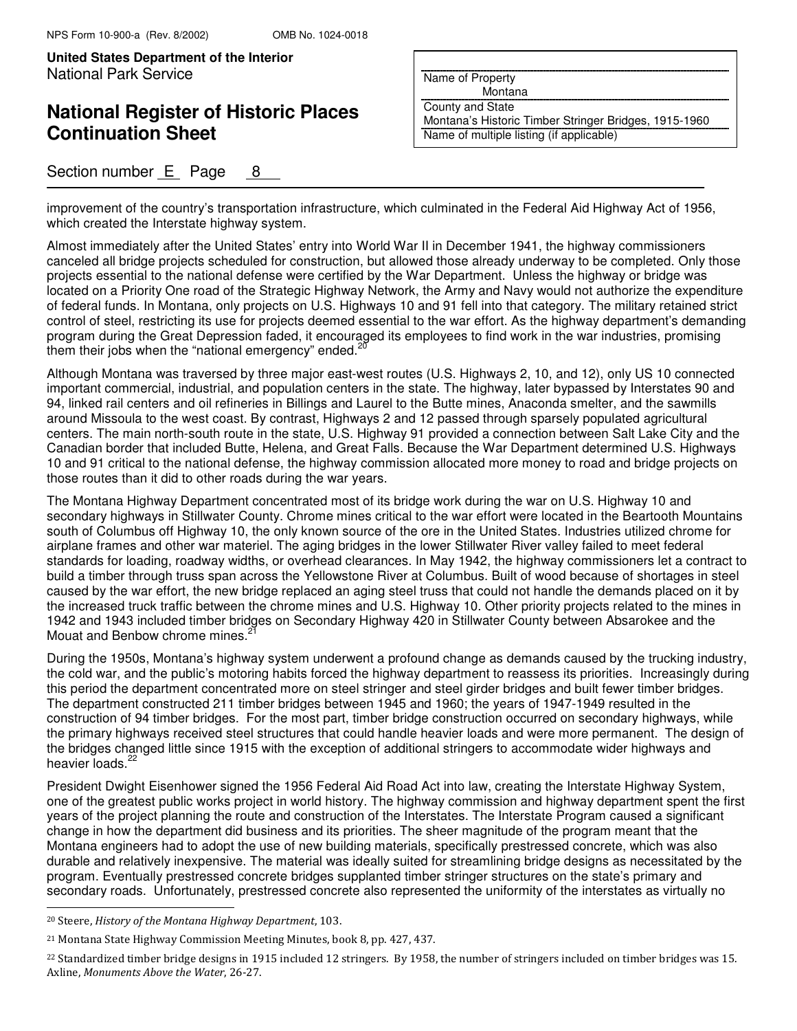## **National Register of Historic Places Continuation Sheet**

### Section number  $E$  Page 8

Name of Property

Montana

County and State Montana's Historic Timber Stringer Bridges, 1915-1960 Name of multiple listing (if applicable)

improvement of the country's transportation infrastructure, which culminated in the Federal Aid Highway Act of 1956, which created the Interstate highway system.

Almost immediately after the United States' entry into World War II in December 1941, the highway commissioners canceled all bridge projects scheduled for construction, but allowed those already underway to be completed. Only those projects essential to the national defense were certified by the War Department. Unless the highway or bridge was located on a Priority One road of the Strategic Highway Network, the Army and Navy would not authorize the expenditure of federal funds. In Montana, only projects on U.S. Highways 10 and 91 fell into that category. The military retained strict control of steel, restricting its use for projects deemed essential to the war effort. As the highway department's demanding program during the Great Depression faded, it encouraged its employees to find work in the war industries, promising them their jobs when the "national emergency" ended.<sup>20</sup>

Although Montana was traversed by three major east-west routes (U.S. Highways 2, 10, and 12), only US 10 connected important commercial, industrial, and population centers in the state. The highway, later bypassed by Interstates 90 and 94, linked rail centers and oil refineries in Billings and Laurel to the Butte mines, Anaconda smelter, and the sawmills around Missoula to the west coast. By contrast, Highways 2 and 12 passed through sparsely populated agricultural centers. The main north-south route in the state, U.S. Highway 91 provided a connection between Salt Lake City and the Canadian border that included Butte, Helena, and Great Falls. Because the War Department determined U.S. Highways 10 and 91 critical to the national defense, the highway commission allocated more money to road and bridge projects on those routes than it did to other roads during the war years.

The Montana Highway Department concentrated most of its bridge work during the war on U.S. Highway 10 and secondary highways in Stillwater County. Chrome mines critical to the war effort were located in the Beartooth Mountains south of Columbus off Highway 10, the only known source of the ore in the United States. Industries utilized chrome for airplane frames and other war materiel. The aging bridges in the lower Stillwater River valley failed to meet federal standards for loading, roadway widths, or overhead clearances. In May 1942, the highway commissioners let a contract to build a timber through truss span across the Yellowstone River at Columbus. Built of wood because of shortages in steel caused by the war effort, the new bridge replaced an aging steel truss that could not handle the demands placed on it by the increased truck traffic between the chrome mines and U.S. Highway 10. Other priority projects related to the mines in 1942 and 1943 included timber bridges on Secondary Highway 420 in Stillwater County between Absarokee and the Mouat and Benbow chrome mines.<sup>2</sup>

During the 1950s, Montana's highway system underwent a profound change as demands caused by the trucking industry, the cold war, and the public's motoring habits forced the highway department to reassess its priorities. Increasingly during this period the department concentrated more on steel stringer and steel girder bridges and built fewer timber bridges. The department constructed 211 timber bridges between 1945 and 1960; the years of 1947-1949 resulted in the construction of 94 timber bridges. For the most part, timber bridge construction occurred on secondary highways, while the primary highways received steel structures that could handle heavier loads and were more permanent. The design of the bridges changed little since 1915 with the exception of additional stringers to accommodate wider highways and heavier loads.<sup>22</sup>

President Dwight Eisenhower signed the 1956 Federal Aid Road Act into law, creating the Interstate Highway System, one of the greatest public works project in world history. The highway commission and highway department spent the first years of the project planning the route and construction of the Interstates. The Interstate Program caused a significant change in how the department did business and its priorities. The sheer magnitude of the program meant that the Montana engineers had to adopt the use of new building materials, specifically prestressed concrete, which was also durable and relatively inexpensive. The material was ideally suited for streamlining bridge designs as necessitated by the program. Eventually prestressed concrete bridges supplanted timber stringer structures on the state's primary and secondary roads. Unfortunately, prestressed concrete also represented the uniformity of the interstates as virtually no  $\overline{a}$ 

<sup>20</sup> Steere, History of the Montana Highway Department, 103.

<sup>21</sup> Montana State Highway Commission Meeting Minutes, book 8, pp. 427, 437.

<sup>&</sup>lt;sup>22</sup> Standardized timber bridge designs in 1915 included 12 stringers. By 1958, the number of stringers included on timber bridges was 15. Axline, Monuments Above the Water, 26-27.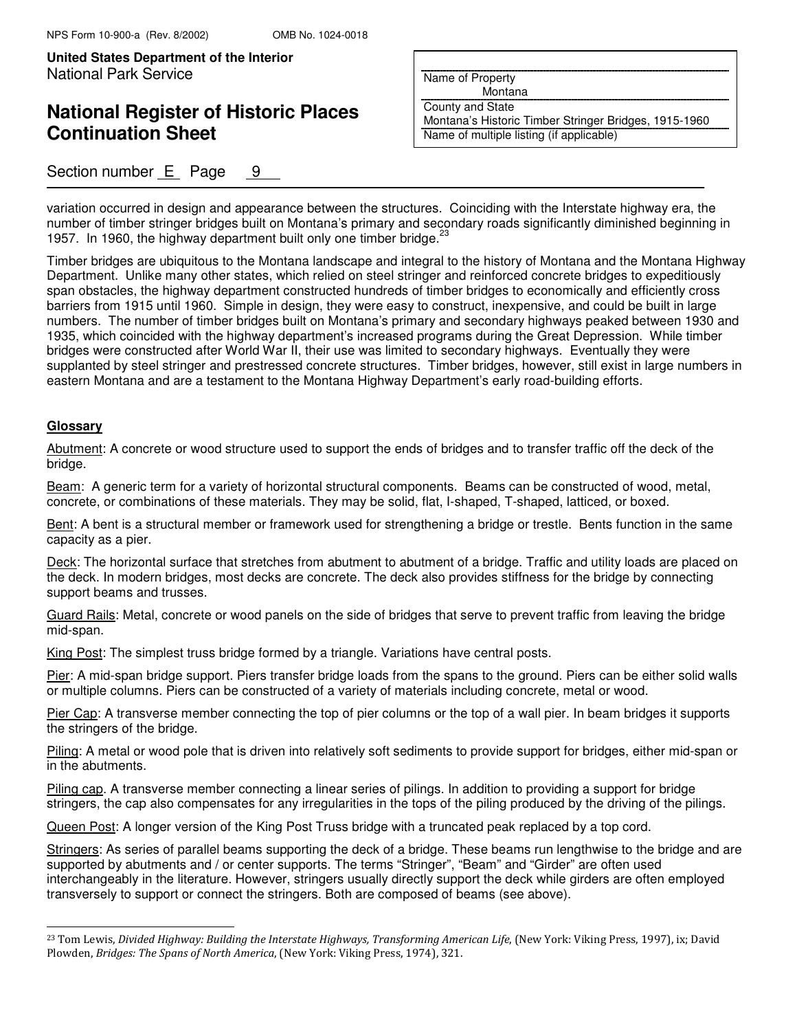## **National Register of Historic Places Continuation Sheet**

### Section number  $E$  Page  $9$

Name of Property

Montana

County and State

Montana's Historic Timber Stringer Bridges, 1915-1960 Name of multiple listing (if applicable)

variation occurred in design and appearance between the structures. Coinciding with the Interstate highway era, the number of timber stringer bridges built on Montana's primary and secondary roads significantly diminished beginning in 1957. In 1960, the highway department built only one timber bridge.  $23$ 

Timber bridges are ubiquitous to the Montana landscape and integral to the history of Montana and the Montana Highway Department. Unlike many other states, which relied on steel stringer and reinforced concrete bridges to expeditiously span obstacles, the highway department constructed hundreds of timber bridges to economically and efficiently cross barriers from 1915 until 1960. Simple in design, they were easy to construct, inexpensive, and could be built in large numbers. The number of timber bridges built on Montana's primary and secondary highways peaked between 1930 and 1935, which coincided with the highway department's increased programs during the Great Depression. While timber bridges were constructed after World War II, their use was limited to secondary highways. Eventually they were supplanted by steel stringer and prestressed concrete structures. Timber bridges, however, still exist in large numbers in eastern Montana and are a testament to the Montana Highway Department's early road-building efforts.

#### **Glossary**

 $\overline{a}$ 

Abutment: A concrete or wood structure used to support the ends of bridges and to transfer traffic off the deck of the bridge.

Beam: A generic term for a variety of horizontal structural components. Beams can be constructed of wood, metal, concrete, or combinations of these materials. They may be solid, flat, I-shaped, T-shaped, latticed, or boxed.

Bent: A bent is a structural member or framework used for strengthening a bridge or trestle. Bents function in the same capacity as a pier.

Deck: The horizontal surface that stretches from abutment to abutment of a bridge. Traffic and utility loads are placed on the deck. In modern bridges, most decks are concrete. The deck also provides stiffness for the bridge by connecting support beams and trusses.

Guard Rails: Metal, concrete or wood panels on the side of bridges that serve to prevent traffic from leaving the bridge mid-span.

King Post: The simplest truss bridge formed by a triangle. Variations have central posts.

Pier: A mid-span bridge support. Piers transfer bridge loads from the spans to the ground. Piers can be either solid walls or multiple columns. Piers can be constructed of a variety of materials including concrete, metal or wood.

Pier Cap: A transverse member connecting the top of pier columns or the top of a wall pier. In beam bridges it supports the stringers of the bridge.

Piling: A metal or wood pole that is driven into relatively soft sediments to provide support for bridges, either mid-span or in the abutments.

Piling cap. A transverse member connecting a linear series of pilings. In addition to providing a support for bridge stringers, the cap also compensates for any irregularities in the tops of the piling produced by the driving of the pilings.

Queen Post: A longer version of the King Post Truss bridge with a truncated peak replaced by a top cord.

Stringers: As series of parallel beams supporting the deck of a bridge. These beams run lengthwise to the bridge and are supported by abutments and / or center supports. The terms "Stringer", "Beam" and "Girder" are often used interchangeably in the literature. However, stringers usually directly support the deck while girders are often employed transversely to support or connect the stringers. Both are composed of beams (see above).

<sup>&</sup>lt;sup>23</sup> Tom Lewis, Divided Highway: Building the Interstate Highways, Transforming American Life, (New York: Viking Press, 1997), ix; David Plowden, Bridges: The Spans of North America, (New York: Viking Press, 1974), 321.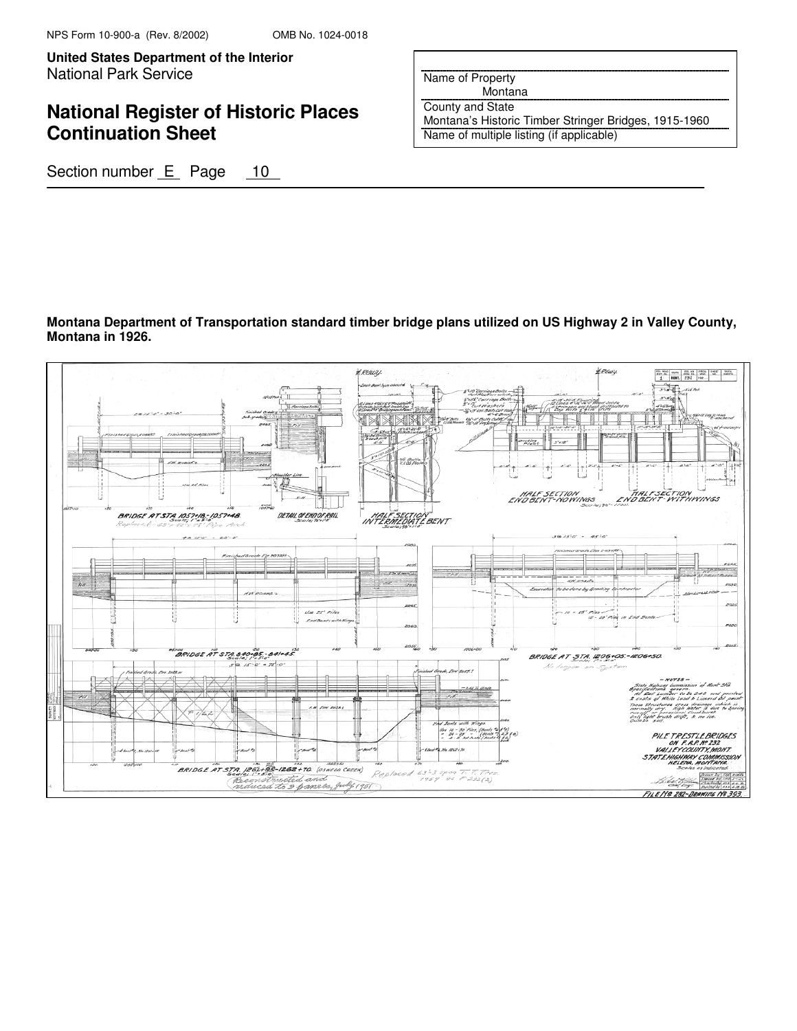**United States Department of the Interior Put Here are all Put Here in Put Here in Put Here are all Put Here i** National Park Service

# **National Register of Historic Places Continuation Sheet**

Name of Property

 Montana County and State

Montana's Historic Timber Stringer Bridges, 1915-1960 Name of multiple listing (if applicable)

Section number E Page 10

### **Montana Department of Transportation standard timber bridge plans utilized on US Highway 2 in Valley County, Montana in 1926.**

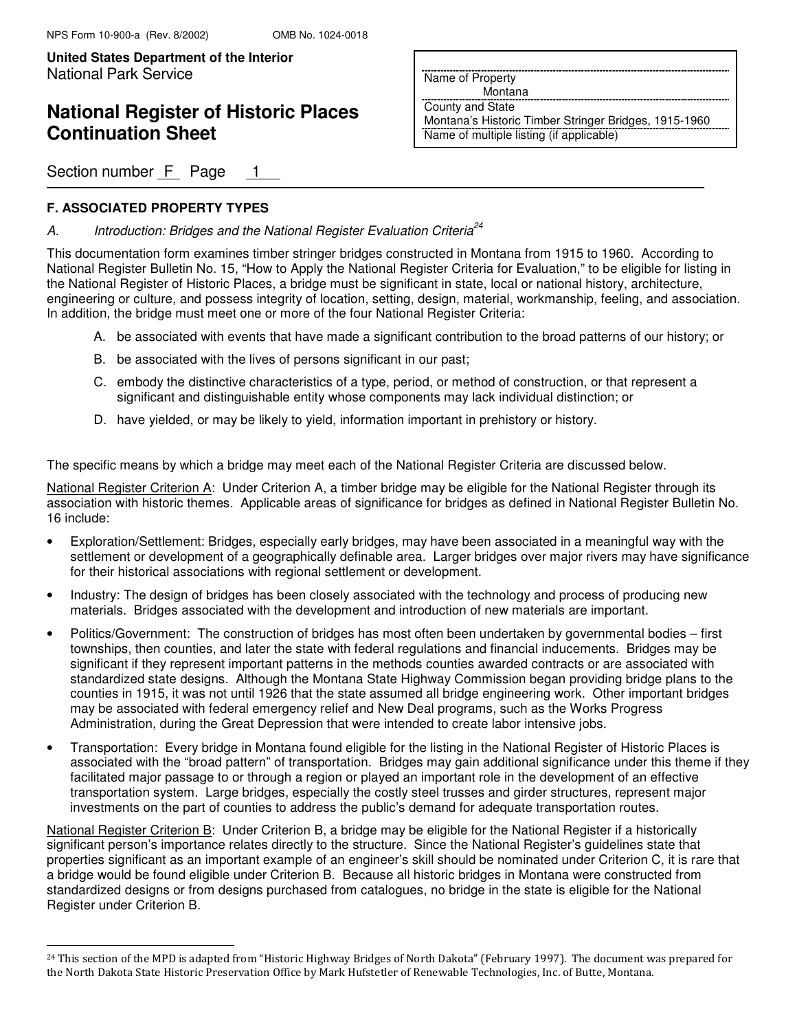# **National Register of Historic Places Continuation Sheet**

Section number F Page 1

### **F. ASSOCIATED PROPERTY TYPES**

j.

### A. Introduction: Bridges and the National Register Evaluation Criteria<sup>24</sup>

This documentation form examines timber stringer bridges constructed in Montana from 1915 to 1960. According to National Register Bulletin No. 15, "How to Apply the National Register Criteria for Evaluation," to be eligible for listing in the National Register of Historic Places, a bridge must be significant in state, local or national history, architecture, engineering or culture, and possess integrity of location, setting, design, material, workmanship, feeling, and association. In addition, the bridge must meet one or more of the four National Register Criteria:

- A. be associated with events that have made a significant contribution to the broad patterns of our history; or
- B. be associated with the lives of persons significant in our past;
- C. embody the distinctive characteristics of a type, period, or method of construction, or that represent a significant and distinguishable entity whose components may lack individual distinction; or
- D. have yielded, or may be likely to yield, information important in prehistory or history.

The specific means by which a bridge may meet each of the National Register Criteria are discussed below.

National Register Criterion A: Under Criterion A, a timber bridge may be eligible for the National Register through its association with historic themes. Applicable areas of significance for bridges as defined in National Register Bulletin No. 16 include:

- Exploration/Settlement: Bridges, especially early bridges, may have been associated in a meaningful way with the settlement or development of a geographically definable area. Larger bridges over major rivers may have significance for their historical associations with regional settlement or development.
- Industry: The design of bridges has been closely associated with the technology and process of producing new materials. Bridges associated with the development and introduction of new materials are important.
- Politics/Government: The construction of bridges has most often been undertaken by governmental bodies first townships, then counties, and later the state with federal regulations and financial inducements. Bridges may be significant if they represent important patterns in the methods counties awarded contracts or are associated with standardized state designs. Although the Montana State Highway Commission began providing bridge plans to the counties in 1915, it was not until 1926 that the state assumed all bridge engineering work. Other important bridges may be associated with federal emergency relief and New Deal programs, such as the Works Progress Administration, during the Great Depression that were intended to create labor intensive jobs.
- Transportation: Every bridge in Montana found eligible for the listing in the National Register of Historic Places is associated with the "broad pattern" of transportation. Bridges may gain additional significance under this theme if they facilitated major passage to or through a region or played an important role in the development of an effective transportation system. Large bridges, especially the costly steel trusses and girder structures, represent major investments on the part of counties to address the public's demand for adequate transportation routes.

National Register Criterion B: Under Criterion B, a bridge may be eligible for the National Register if a historically significant person's importance relates directly to the structure. Since the National Register's guidelines state that properties significant as an important example of an engineer's skill should be nominated under Criterion C, it is rare that a bridge would be found eligible under Criterion B. Because all historic bridges in Montana were constructed from standardized designs or from designs purchased from catalogues, no bridge in the state is eligible for the National Register under Criterion B.

Name of Property

Montana

County and State

Montana's Historic Timber Stringer Bridges, 1915-1960 Name of multiple listing (if applicable)

<sup>&</sup>lt;sup>24</sup> This section of the MPD is adapted from "Historic Highway Bridges of North Dakota" (February 1997). The document was prepared for the North Dakota State Historic Preservation Office by Mark Hufstetler of Renewable Technologies, Inc. of Butte, Montana.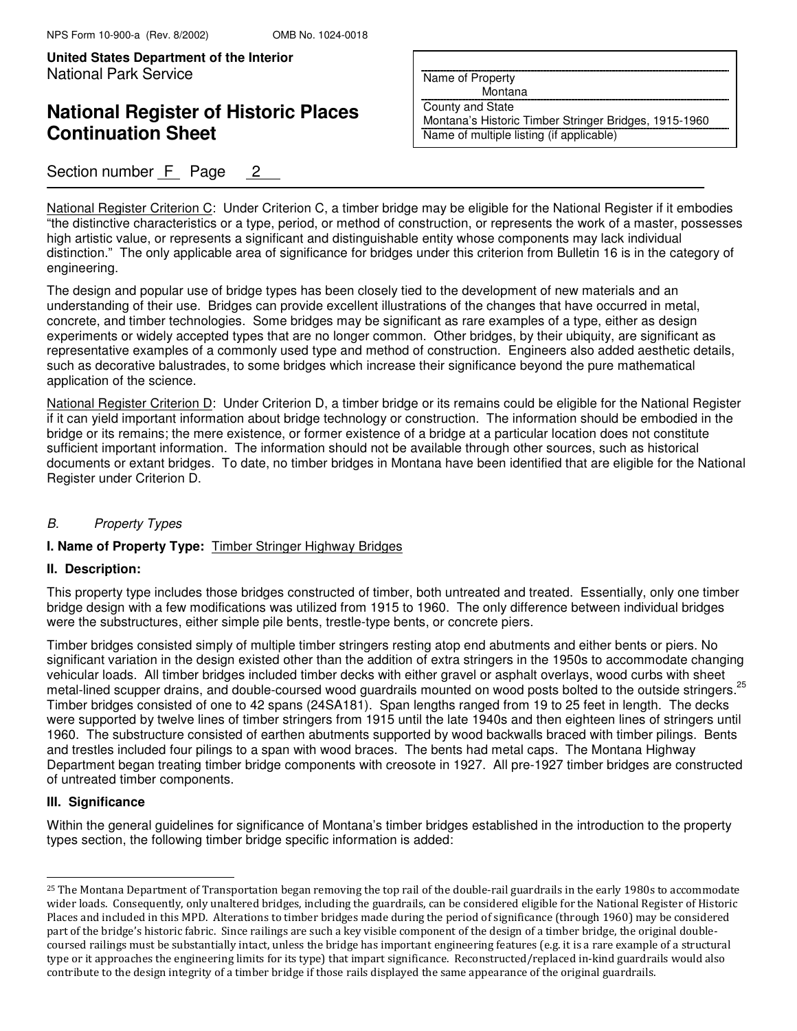**United States Department of the Interior Put Here are all Put Here in Put Here in Put Here are all Put Here i** National Park Service

# **National Register of Historic Places Continuation Sheet**

## Section number F Page 2

Name of Property

Montana

County and State

Montana's Historic Timber Stringer Bridges, 1915-1960 Name of multiple listing (if applicable)

National Register Criterion C: Under Criterion C, a timber bridge may be eligible for the National Register if it embodies "the distinctive characteristics or a type, period, or method of construction, or represents the work of a master, possesses high artistic value, or represents a significant and distinguishable entity whose components may lack individual distinction." The only applicable area of significance for bridges under this criterion from Bulletin 16 is in the category of engineering.

The design and popular use of bridge types has been closely tied to the development of new materials and an understanding of their use. Bridges can provide excellent illustrations of the changes that have occurred in metal, concrete, and timber technologies. Some bridges may be significant as rare examples of a type, either as design experiments or widely accepted types that are no longer common. Other bridges, by their ubiquity, are significant as representative examples of a commonly used type and method of construction. Engineers also added aesthetic details, such as decorative balustrades, to some bridges which increase their significance beyond the pure mathematical application of the science.

National Register Criterion D: Under Criterion D, a timber bridge or its remains could be eligible for the National Register if it can yield important information about bridge technology or construction. The information should be embodied in the bridge or its remains; the mere existence, or former existence of a bridge at a particular location does not constitute sufficient important information. The information should not be available through other sources, such as historical documents or extant bridges. To date, no timber bridges in Montana have been identified that are eligible for the National Register under Criterion D.

#### B. Property Types

#### **I. Name of Property Type:** Timber Stringer Highway Bridges

#### **II. Description:**

This property type includes those bridges constructed of timber, both untreated and treated. Essentially, only one timber bridge design with a few modifications was utilized from 1915 to 1960. The only difference between individual bridges were the substructures, either simple pile bents, trestle-type bents, or concrete piers.

Timber bridges consisted simply of multiple timber stringers resting atop end abutments and either bents or piers. No significant variation in the design existed other than the addition of extra stringers in the 1950s to accommodate changing vehicular loads. All timber bridges included timber decks with either gravel or asphalt overlays, wood curbs with sheet metal-lined scupper drains, and double-coursed wood guardrails mounted on wood posts bolted to the outside stringers.<sup>25</sup> Timber bridges consisted of one to 42 spans (24SA181). Span lengths ranged from 19 to 25 feet in length. The decks were supported by twelve lines of timber stringers from 1915 until the late 1940s and then eighteen lines of stringers until 1960. The substructure consisted of earthen abutments supported by wood backwalls braced with timber pilings. Bents and trestles included four pilings to a span with wood braces. The bents had metal caps. The Montana Highway Department began treating timber bridge components with creosote in 1927. All pre-1927 timber bridges are constructed of untreated timber components.

#### **III. Significance**

L

Within the general guidelines for significance of Montana's timber bridges established in the introduction to the property types section, the following timber bridge specific information is added:

<sup>&</sup>lt;sup>25</sup> The Montana Department of Transportation began removing the top rail of the double-rail guardrails in the early 1980s to accommodate wider loads. Consequently, only unaltered bridges, including the guardrails, can be considered eligible for the National Register of Historic Places and included in this MPD. Alterations to timber bridges made during the period of significance (through 1960) may be considered part of the bridge's historic fabric. Since railings are such a key visible component of the design of a timber bridge, the original doublecoursed railings must be substantially intact, unless the bridge has important engineering features (e.g. it is a rare example of a structural type or it approaches the engineering limits for its type) that impart significance. Reconstructed/replaced in-kind guardrails would also contribute to the design integrity of a timber bridge if those rails displayed the same appearance of the original guardrails.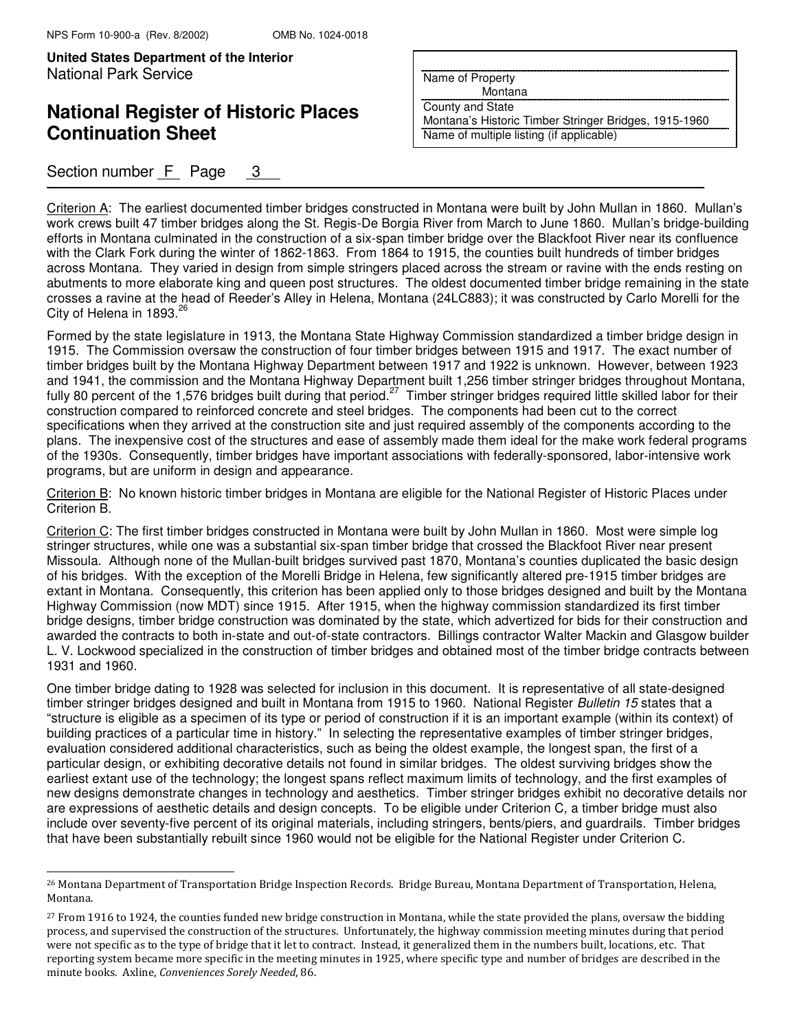j.

**United States Department of the Interior** National Park Service

# **National Register of Historic Places Continuation Sheet**

## Section number  $F$  Page 3

Name of Property

Montana

County and State

Montana's Historic Timber Stringer Bridges, 1915-1960 Name of multiple listing (if applicable)

Criterion A: The earliest documented timber bridges constructed in Montana were built by John Mullan in 1860. Mullan's work crews built 47 timber bridges along the St. Regis-De Borgia River from March to June 1860. Mullan's bridge-building efforts in Montana culminated in the construction of a six-span timber bridge over the Blackfoot River near its confluence with the Clark Fork during the winter of 1862-1863. From 1864 to 1915, the counties built hundreds of timber bridges across Montana. They varied in design from simple stringers placed across the stream or ravine with the ends resting on abutments to more elaborate king and queen post structures. The oldest documented timber bridge remaining in the state crosses a ravine at the head of Reeder's Alley in Helena, Montana (24LC883); it was constructed by Carlo Morelli for the City of Helena in 1893. $26$ 

Formed by the state legislature in 1913, the Montana State Highway Commission standardized a timber bridge design in 1915. The Commission oversaw the construction of four timber bridges between 1915 and 1917. The exact number of timber bridges built by the Montana Highway Department between 1917 and 1922 is unknown. However, between 1923 and 1941, the commission and the Montana Highway Department built 1,256 timber stringer bridges throughout Montana, fully 80 percent of the 1,576 bridges built during that period.<sup>27</sup> Timber stringer bridges required little skilled labor for their construction compared to reinforced concrete and steel bridges. The components had been cut to the correct specifications when they arrived at the construction site and just required assembly of the components according to the plans. The inexpensive cost of the structures and ease of assembly made them ideal for the make work federal programs of the 1930s. Consequently, timber bridges have important associations with federally-sponsored, labor-intensive work programs, but are uniform in design and appearance.

Criterion B: No known historic timber bridges in Montana are eligible for the National Register of Historic Places under Criterion B.

Criterion C: The first timber bridges constructed in Montana were built by John Mullan in 1860. Most were simple log stringer structures, while one was a substantial six-span timber bridge that crossed the Blackfoot River near present Missoula. Although none of the Mullan-built bridges survived past 1870, Montana's counties duplicated the basic design of his bridges. With the exception of the Morelli Bridge in Helena, few significantly altered pre-1915 timber bridges are extant in Montana. Consequently, this criterion has been applied only to those bridges designed and built by the Montana Highway Commission (now MDT) since 1915. After 1915, when the highway commission standardized its first timber bridge designs, timber bridge construction was dominated by the state, which advertized for bids for their construction and awarded the contracts to both in-state and out-of-state contractors. Billings contractor Walter Mackin and Glasgow builder L. V. Lockwood specialized in the construction of timber bridges and obtained most of the timber bridge contracts between 1931 and 1960.

One timber bridge dating to 1928 was selected for inclusion in this document. It is representative of all state-designed timber stringer bridges designed and built in Montana from 1915 to 1960. National Register Bulletin 15 states that a "structure is eligible as a specimen of its type or period of construction if it is an important example (within its context) of building practices of a particular time in history." In selecting the representative examples of timber stringer bridges, evaluation considered additional characteristics, such as being the oldest example, the longest span, the first of a particular design, or exhibiting decorative details not found in similar bridges. The oldest surviving bridges show the earliest extant use of the technology; the longest spans reflect maximum limits of technology, and the first examples of new designs demonstrate changes in technology and aesthetics. Timber stringer bridges exhibit no decorative details nor are expressions of aesthetic details and design concepts. To be eligible under Criterion C, a timber bridge must also include over seventy-five percent of its original materials, including stringers, bents/piers, and guardrails. Timber bridges that have been substantially rebuilt since 1960 would not be eligible for the National Register under Criterion C.

<sup>26</sup> Montana Department of Transportation Bridge Inspection Records. Bridge Bureau, Montana Department of Transportation, Helena, Montana.

<sup>&</sup>lt;sup>27</sup> From 1916 to 1924, the counties funded new bridge construction in Montana, while the state provided the plans, oversaw the bidding process, and supervised the construction of the structures. Unfortunately, the highway commission meeting minutes during that period were not specific as to the type of bridge that it let to contract. Instead, it generalized them in the numbers built, locations, etc. That reporting system became more specific in the meeting minutes in 1925, where specific type and number of bridges are described in the minute books. Axline, Conveniences Sorely Needed, 86.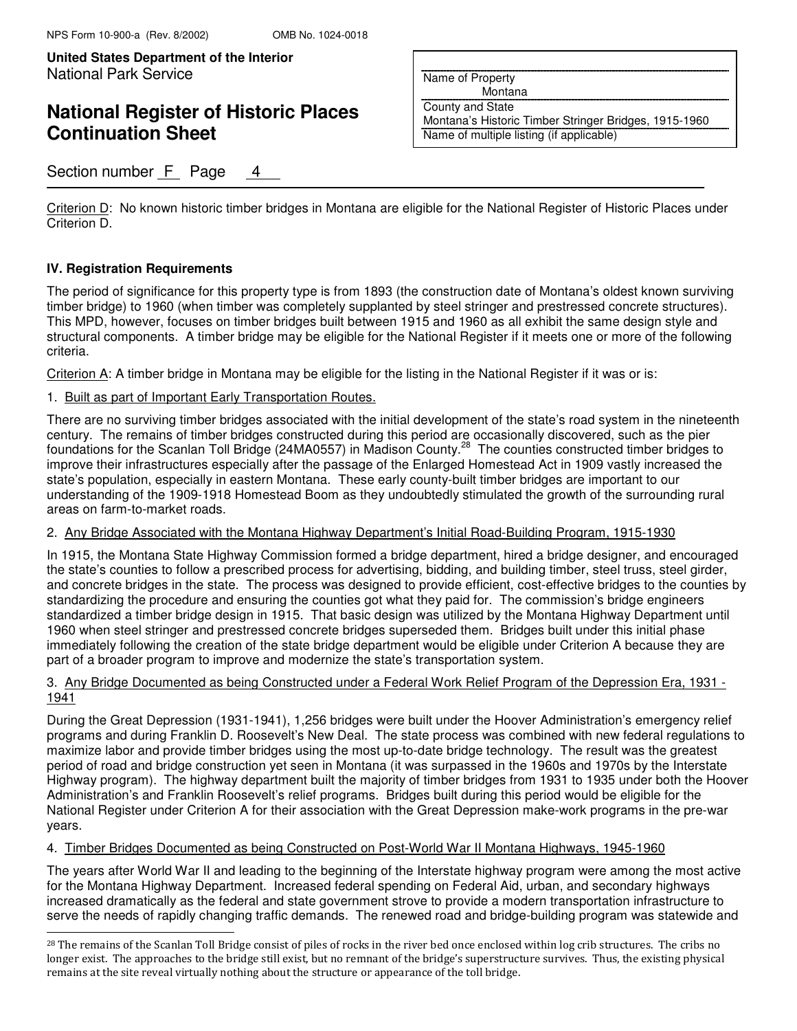# **National Register of Historic Places Continuation Sheet**

## Section number F Page 4

Name of Property

Montana

County and State

Montana's Historic Timber Stringer Bridges, 1915-1960 Name of multiple listing (if applicable)

Criterion D: No known historic timber bridges in Montana are eligible for the National Register of Historic Places under Criterion D.

#### **IV. Registration Requirements**

The period of significance for this property type is from 1893 (the construction date of Montana's oldest known surviving timber bridge) to 1960 (when timber was completely supplanted by steel stringer and prestressed concrete structures). This MPD, however, focuses on timber bridges built between 1915 and 1960 as all exhibit the same design style and structural components. A timber bridge may be eligible for the National Register if it meets one or more of the following criteria.

Criterion A: A timber bridge in Montana may be eligible for the listing in the National Register if it was or is:

#### 1. Built as part of Important Early Transportation Routes.

There are no surviving timber bridges associated with the initial development of the state's road system in the nineteenth century. The remains of timber bridges constructed during this period are occasionally discovered, such as the pier foundations for the Scanlan Toll Bridge (24MA0557) in Madison County.<sup>28</sup> The counties constructed timber bridges to improve their infrastructures especially after the passage of the Enlarged Homestead Act in 1909 vastly increased the state's population, especially in eastern Montana. These early county-built timber bridges are important to our understanding of the 1909-1918 Homestead Boom as they undoubtedly stimulated the growth of the surrounding rural areas on farm-to-market roads.

#### 2. Any Bridge Associated with the Montana Highway Department's Initial Road-Building Program, 1915-1930

In 1915, the Montana State Highway Commission formed a bridge department, hired a bridge designer, and encouraged the state's counties to follow a prescribed process for advertising, bidding, and building timber, steel truss, steel girder, and concrete bridges in the state. The process was designed to provide efficient, cost-effective bridges to the counties by standardizing the procedure and ensuring the counties got what they paid for. The commission's bridge engineers standardized a timber bridge design in 1915. That basic design was utilized by the Montana Highway Department until 1960 when steel stringer and prestressed concrete bridges superseded them. Bridges built under this initial phase immediately following the creation of the state bridge department would be eligible under Criterion A because they are part of a broader program to improve and modernize the state's transportation system.

#### 3. Any Bridge Documented as being Constructed under a Federal Work Relief Program of the Depression Era, 1931 - 1941

During the Great Depression (1931-1941), 1,256 bridges were built under the Hoover Administration's emergency relief programs and during Franklin D. Roosevelt's New Deal. The state process was combined with new federal regulations to maximize labor and provide timber bridges using the most up-to-date bridge technology. The result was the greatest period of road and bridge construction yet seen in Montana (it was surpassed in the 1960s and 1970s by the Interstate Highway program). The highway department built the majority of timber bridges from 1931 to 1935 under both the Hoover Administration's and Franklin Roosevelt's relief programs. Bridges built during this period would be eligible for the National Register under Criterion A for their association with the Great Depression make-work programs in the pre-war years.

#### 4. Timber Bridges Documented as being Constructed on Post-World War II Montana Highways, 1945-1960

The years after World War II and leading to the beginning of the Interstate highway program were among the most active for the Montana Highway Department. Increased federal spending on Federal Aid, urban, and secondary highways increased dramatically as the federal and state government strove to provide a modern transportation infrastructure to serve the needs of rapidly changing traffic demands. The renewed road and bridge-building program was statewide and j.

<sup>&</sup>lt;sup>28</sup> The remains of the Scanlan Toll Bridge consist of piles of rocks in the river bed once enclosed within log crib structures. The cribs no longer exist. The approaches to the bridge still exist, but no remnant of the bridge's superstructure survives. Thus, the existing physical remains at the site reveal virtually nothing about the structure or appearance of the toll bridge.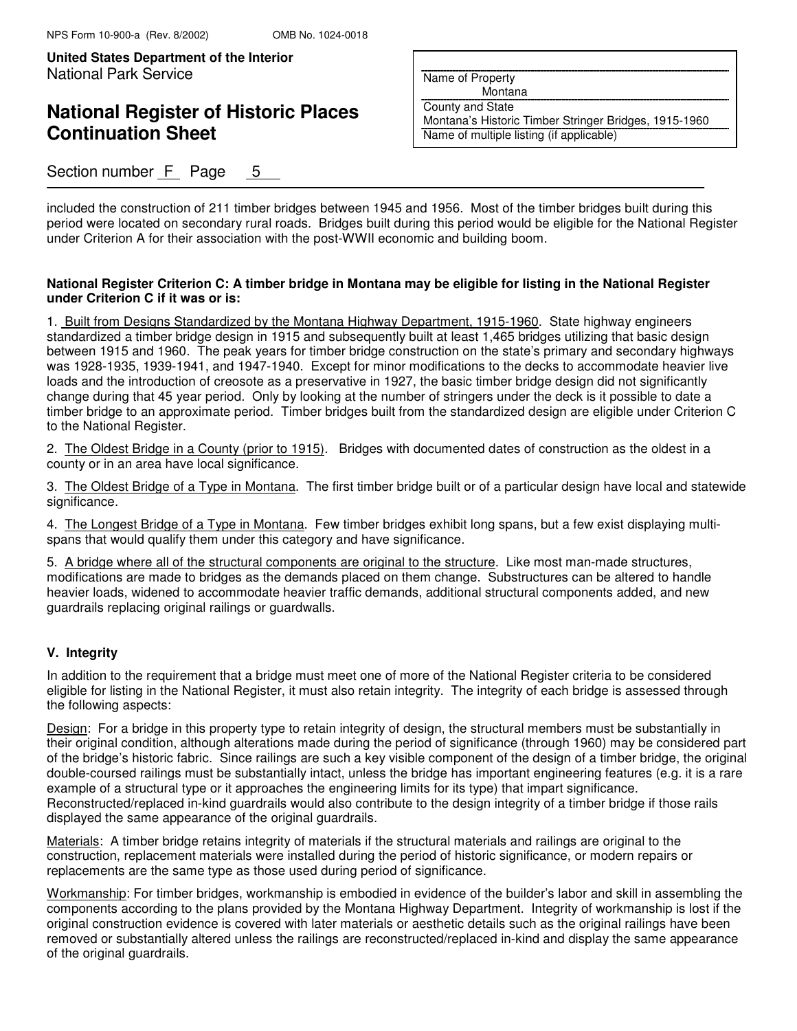## **National Register of Historic Places Continuation Sheet**

Section number  $F$  Page 5

Name of Property

Montana

County and State

Montana's Historic Timber Stringer Bridges, 1915-1960 Name of multiple listing (if applicable)

included the construction of 211 timber bridges between 1945 and 1956. Most of the timber bridges built during this period were located on secondary rural roads. Bridges built during this period would be eligible for the National Register under Criterion A for their association with the post-WWII economic and building boom.

#### **National Register Criterion C: A timber bridge in Montana may be eligible for listing in the National Register under Criterion C if it was or is:**

1. Built from Designs Standardized by the Montana Highway Department, 1915-1960. State highway engineers standardized a timber bridge design in 1915 and subsequently built at least 1,465 bridges utilizing that basic design between 1915 and 1960. The peak years for timber bridge construction on the state's primary and secondary highways was 1928-1935, 1939-1941, and 1947-1940. Except for minor modifications to the decks to accommodate heavier live loads and the introduction of creosote as a preservative in 1927, the basic timber bridge design did not significantly change during that 45 year period. Only by looking at the number of stringers under the deck is it possible to date a timber bridge to an approximate period. Timber bridges built from the standardized design are eligible under Criterion C to the National Register.

2. The Oldest Bridge in a County (prior to 1915). Bridges with documented dates of construction as the oldest in a county or in an area have local significance.

3. The Oldest Bridge of a Type in Montana. The first timber bridge built or of a particular design have local and statewide significance.

4. The Longest Bridge of a Type in Montana. Few timber bridges exhibit long spans, but a few exist displaying multispans that would qualify them under this category and have significance.

5. A bridge where all of the structural components are original to the structure. Like most man-made structures, modifications are made to bridges as the demands placed on them change. Substructures can be altered to handle heavier loads, widened to accommodate heavier traffic demands, additional structural components added, and new guardrails replacing original railings or guardwalls.

#### **V. Integrity**

In addition to the requirement that a bridge must meet one of more of the National Register criteria to be considered eligible for listing in the National Register, it must also retain integrity. The integrity of each bridge is assessed through the following aspects:

Design: For a bridge in this property type to retain integrity of design, the structural members must be substantially in their original condition, although alterations made during the period of significance (through 1960) may be considered part of the bridge's historic fabric. Since railings are such a key visible component of the design of a timber bridge, the original double-coursed railings must be substantially intact, unless the bridge has important engineering features (e.g. it is a rare example of a structural type or it approaches the engineering limits for its type) that impart significance. Reconstructed/replaced in-kind guardrails would also contribute to the design integrity of a timber bridge if those rails displayed the same appearance of the original guardrails.

Materials: A timber bridge retains integrity of materials if the structural materials and railings are original to the construction, replacement materials were installed during the period of historic significance, or modern repairs or replacements are the same type as those used during period of significance.

Workmanship: For timber bridges, workmanship is embodied in evidence of the builder's labor and skill in assembling the components according to the plans provided by the Montana Highway Department. Integrity of workmanship is lost if the original construction evidence is covered with later materials or aesthetic details such as the original railings have been removed or substantially altered unless the railings are reconstructed/replaced in-kind and display the same appearance of the original guardrails.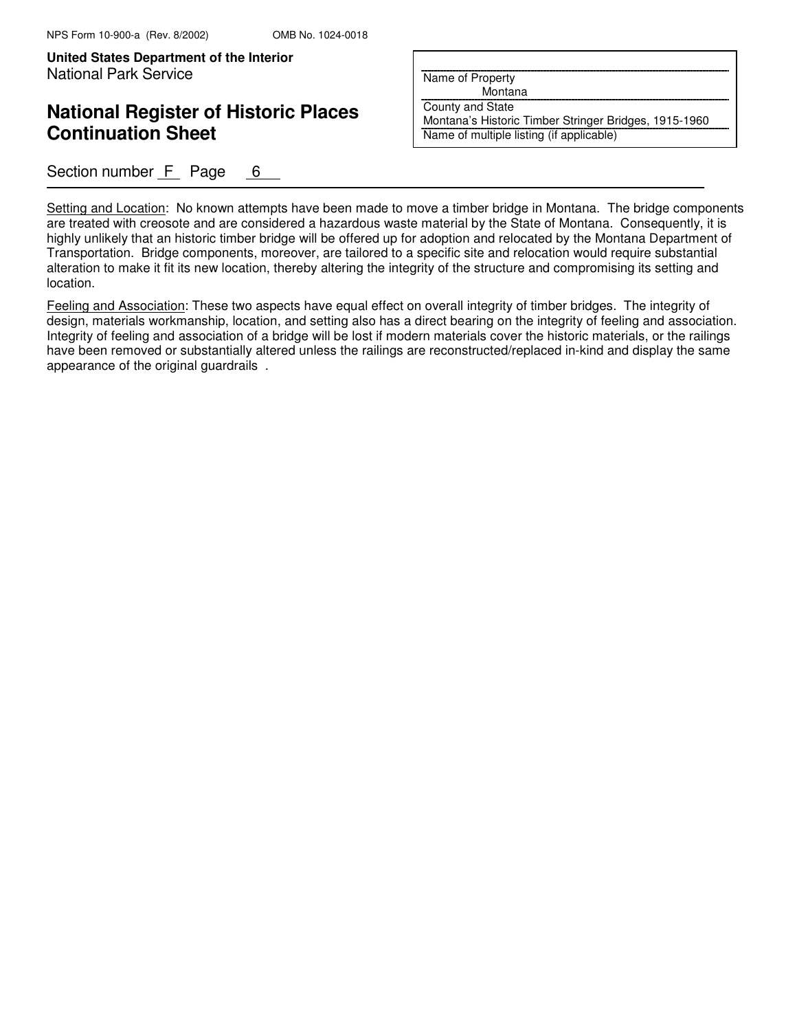## **National Register of Historic Places Continuation Sheet**

Section number  $F$  Page 6

Name of Property

Montana

County and State

Montana's Historic Timber Stringer Bridges, 1915-1960 Name of multiple listing (if applicable)

Setting and Location: No known attempts have been made to move a timber bridge in Montana. The bridge components are treated with creosote and are considered a hazardous waste material by the State of Montana. Consequently, it is highly unlikely that an historic timber bridge will be offered up for adoption and relocated by the Montana Department of Transportation. Bridge components, moreover, are tailored to a specific site and relocation would require substantial alteration to make it fit its new location, thereby altering the integrity of the structure and compromising its setting and location.

Feeling and Association: These two aspects have equal effect on overall integrity of timber bridges. The integrity of design, materials workmanship, location, and setting also has a direct bearing on the integrity of feeling and association. Integrity of feeling and association of a bridge will be lost if modern materials cover the historic materials, or the railings have been removed or substantially altered unless the railings are reconstructed/replaced in-kind and display the same appearance of the original guardrails .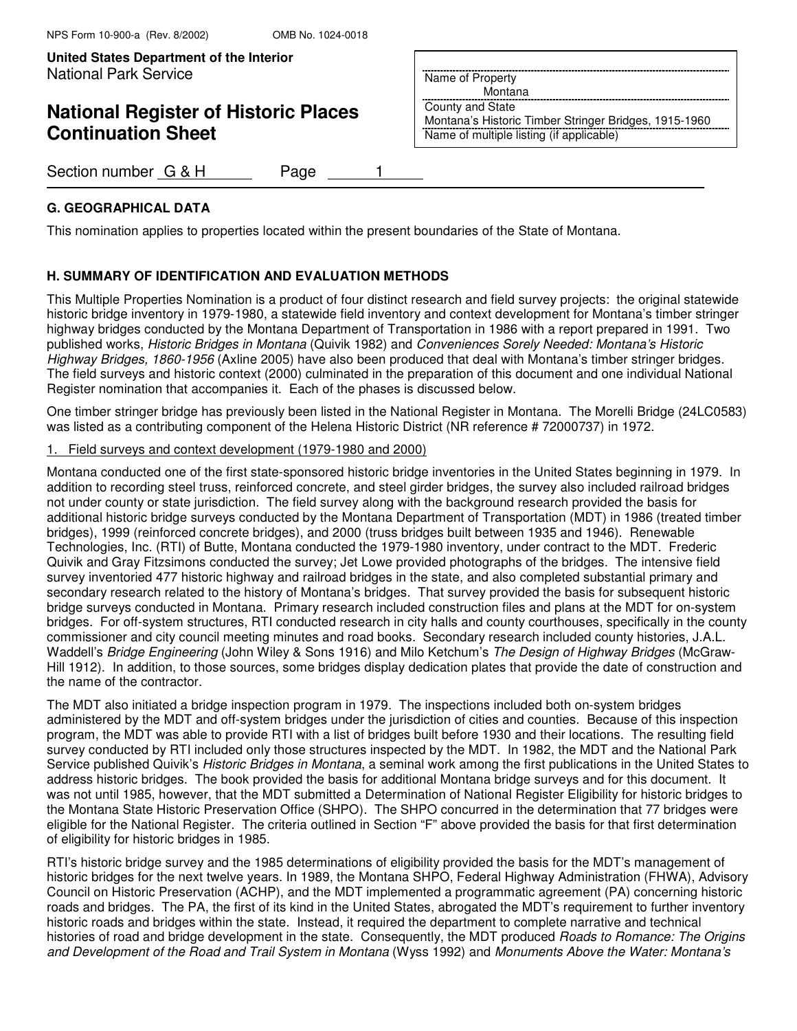**United States Department of the Interior Put Here Interior Put Here is a put Here in Algebra Put Here is a put** National Park Service

# **National Register of Historic Places Continuation Sheet**

Name of Property Montana

County and State Montana's Historic Timber Stringer Bridges, 1915-1960 Name of multiple listing (if applicable)

Section number G & H Page 1

### **G. GEOGRAPHICAL DATA**

This nomination applies to properties located within the present boundaries of the State of Montana.

### **H. SUMMARY OF IDENTIFICATION AND EVALUATION METHODS**

This Multiple Properties Nomination is a product of four distinct research and field survey projects: the original statewide historic bridge inventory in 1979-1980, a statewide field inventory and context development for Montana's timber stringer highway bridges conducted by the Montana Department of Transportation in 1986 with a report prepared in 1991. Two published works, Historic Bridges in Montana (Quivik 1982) and Conveniences Sorely Needed: Montana's Historic Highway Bridges, 1860-1956 (Axline 2005) have also been produced that deal with Montana's timber stringer bridges. The field surveys and historic context (2000) culminated in the preparation of this document and one individual National Register nomination that accompanies it. Each of the phases is discussed below.

One timber stringer bridge has previously been listed in the National Register in Montana. The Morelli Bridge (24LC0583) was listed as a contributing component of the Helena Historic District (NR reference # 72000737) in 1972.

#### 1. Field surveys and context development (1979-1980 and 2000)

Montana conducted one of the first state-sponsored historic bridge inventories in the United States beginning in 1979. In addition to recording steel truss, reinforced concrete, and steel girder bridges, the survey also included railroad bridges not under county or state jurisdiction. The field survey along with the background research provided the basis for additional historic bridge surveys conducted by the Montana Department of Transportation (MDT) in 1986 (treated timber bridges), 1999 (reinforced concrete bridges), and 2000 (truss bridges built between 1935 and 1946). Renewable Technologies, Inc. (RTI) of Butte, Montana conducted the 1979-1980 inventory, under contract to the MDT. Frederic Quivik and Gray Fitzsimons conducted the survey; Jet Lowe provided photographs of the bridges. The intensive field survey inventoried 477 historic highway and railroad bridges in the state, and also completed substantial primary and secondary research related to the history of Montana's bridges. That survey provided the basis for subsequent historic bridge surveys conducted in Montana. Primary research included construction files and plans at the MDT for on-system bridges. For off-system structures, RTI conducted research in city halls and county courthouses, specifically in the county commissioner and city council meeting minutes and road books. Secondary research included county histories, J.A.L. Waddell's Bridge Engineering (John Wiley & Sons 1916) and Milo Ketchum's The Design of Highway Bridges (McGraw-Hill 1912). In addition, to those sources, some bridges display dedication plates that provide the date of construction and the name of the contractor.

The MDT also initiated a bridge inspection program in 1979. The inspections included both on-system bridges administered by the MDT and off-system bridges under the jurisdiction of cities and counties. Because of this inspection program, the MDT was able to provide RTI with a list of bridges built before 1930 and their locations. The resulting field survey conducted by RTI included only those structures inspected by the MDT. In 1982, the MDT and the National Park Service published Quivik's Historic Bridges in Montana, a seminal work among the first publications in the United States to address historic bridges. The book provided the basis for additional Montana bridge surveys and for this document. It was not until 1985, however, that the MDT submitted a Determination of National Register Eligibility for historic bridges to the Montana State Historic Preservation Office (SHPO). The SHPO concurred in the determination that 77 bridges were eligible for the National Register. The criteria outlined in Section "F" above provided the basis for that first determination of eligibility for historic bridges in 1985.

RTI's historic bridge survey and the 1985 determinations of eligibility provided the basis for the MDT's management of historic bridges for the next twelve years. In 1989, the Montana SHPO, Federal Highway Administration (FHWA), Advisory Council on Historic Preservation (ACHP), and the MDT implemented a programmatic agreement (PA) concerning historic roads and bridges. The PA, the first of its kind in the United States, abrogated the MDT's requirement to further inventory historic roads and bridges within the state. Instead, it required the department to complete narrative and technical histories of road and bridge development in the state. Consequently, the MDT produced Roads to Romance: The Origins and Development of the Road and Trail System in Montana (Wyss 1992) and Monuments Above the Water: Montana's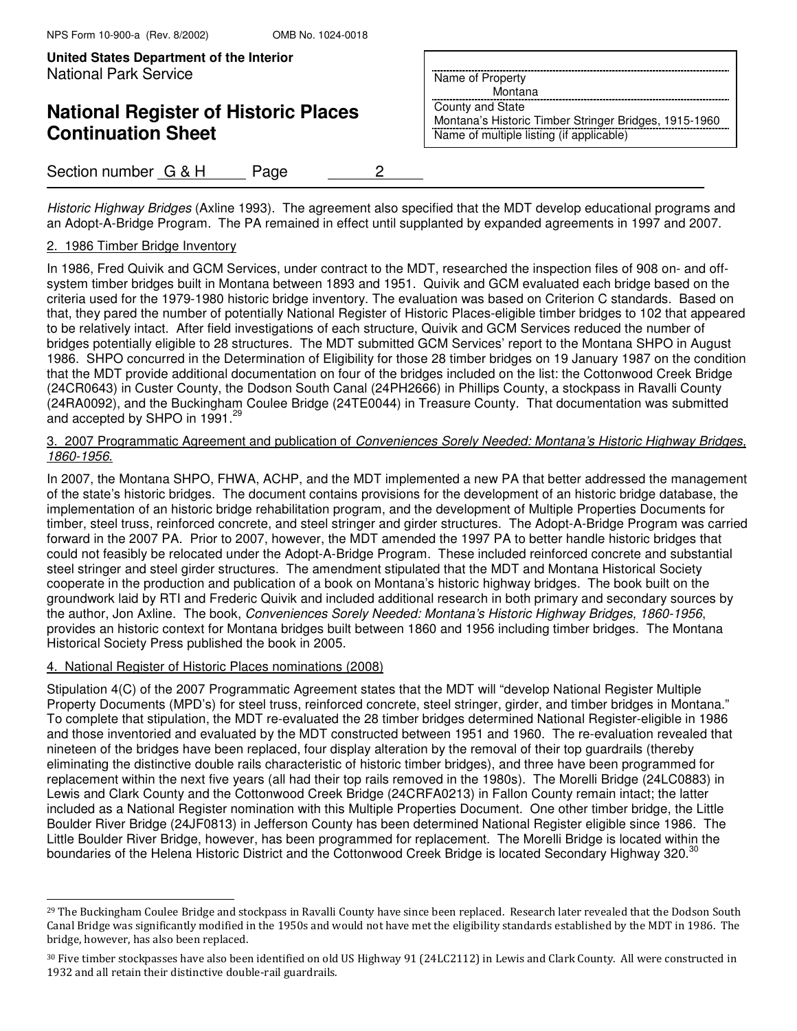# **National Register of Historic Places Continuation Sheet**

## Section number G & H Page 2

Historic Highway Bridges (Axline 1993). The agreement also specified that the MDT develop educational programs and an Adopt-A-Bridge Program. The PA remained in effect until supplanted by expanded agreements in 1997 and 2007.

### 2. 1986 Timber Bridge Inventory

In 1986, Fred Quivik and GCM Services, under contract to the MDT, researched the inspection files of 908 on- and offsystem timber bridges built in Montana between 1893 and 1951. Quivik and GCM evaluated each bridge based on the criteria used for the 1979-1980 historic bridge inventory. The evaluation was based on Criterion C standards. Based on that, they pared the number of potentially National Register of Historic Places-eligible timber bridges to 102 that appeared to be relatively intact. After field investigations of each structure, Quivik and GCM Services reduced the number of bridges potentially eligible to 28 structures. The MDT submitted GCM Services' report to the Montana SHPO in August 1986. SHPO concurred in the Determination of Eligibility for those 28 timber bridges on 19 January 1987 on the condition that the MDT provide additional documentation on four of the bridges included on the list: the Cottonwood Creek Bridge (24CR0643) in Custer County, the Dodson South Canal (24PH2666) in Phillips County, a stockpass in Ravalli County (24RA0092), and the Buckingham Coulee Bridge (24TE0044) in Treasure County. That documentation was submitted and accepted by SHPO in 1991. $^{29}$ 

#### 3. 2007 Programmatic Agreement and publication of Conveniences Sorely Needed: Montana's Historic Highway Bridges, 1860-1956.

In 2007, the Montana SHPO, FHWA, ACHP, and the MDT implemented a new PA that better addressed the management of the state's historic bridges. The document contains provisions for the development of an historic bridge database, the implementation of an historic bridge rehabilitation program, and the development of Multiple Properties Documents for timber, steel truss, reinforced concrete, and steel stringer and girder structures. The Adopt-A-Bridge Program was carried forward in the 2007 PA. Prior to 2007, however, the MDT amended the 1997 PA to better handle historic bridges that could not feasibly be relocated under the Adopt-A-Bridge Program. These included reinforced concrete and substantial steel stringer and steel girder structures. The amendment stipulated that the MDT and Montana Historical Society cooperate in the production and publication of a book on Montana's historic highway bridges. The book built on the groundwork laid by RTI and Frederic Quivik and included additional research in both primary and secondary sources by the author, Jon Axline. The book, Conveniences Sorely Needed: Montana's Historic Highway Bridges, 1860-1956, provides an historic context for Montana bridges built between 1860 and 1956 including timber bridges. The Montana Historical Society Press published the book in 2005.

### 4. National Register of Historic Places nominations (2008)

j.

Stipulation 4(C) of the 2007 Programmatic Agreement states that the MDT will "develop National Register Multiple Property Documents (MPD's) for steel truss, reinforced concrete, steel stringer, girder, and timber bridges in Montana." To complete that stipulation, the MDT re-evaluated the 28 timber bridges determined National Register-eligible in 1986 and those inventoried and evaluated by the MDT constructed between 1951 and 1960. The re-evaluation revealed that nineteen of the bridges have been replaced, four display alteration by the removal of their top guardrails (thereby eliminating the distinctive double rails characteristic of historic timber bridges), and three have been programmed for replacement within the next five years (all had their top rails removed in the 1980s). The Morelli Bridge (24LC0883) in Lewis and Clark County and the Cottonwood Creek Bridge (24CRFA0213) in Fallon County remain intact; the latter included as a National Register nomination with this Multiple Properties Document. One other timber bridge, the Little Boulder River Bridge (24JF0813) in Jefferson County has been determined National Register eligible since 1986. The Little Boulder River Bridge, however, has been programmed for replacement. The Morelli Bridge is located within the boundaries of the Helena Historic District and the Cottonwood Creek Bridge is located Secondary Highway 320.<sup>30</sup>

Name of Property

Montana

County and State Montana's Historic Timber Stringer Bridges, 1915-1960 Name of multiple listing (if applicable)

<sup>&</sup>lt;sup>29</sup> The Buckingham Coulee Bridge and stockpass in Ravalli County have since been replaced. Research later revealed that the Dodson South Canal Bridge was significantly modified in the 1950s and would not have met the eligibility standards established by the MDT in 1986. The bridge, however, has also been replaced.

<sup>30</sup> Five timber stockpasses have also been identified on old US Highway 91 (24LC2112) in Lewis and Clark County. All were constructed in 1932 and all retain their distinctive double-rail guardrails.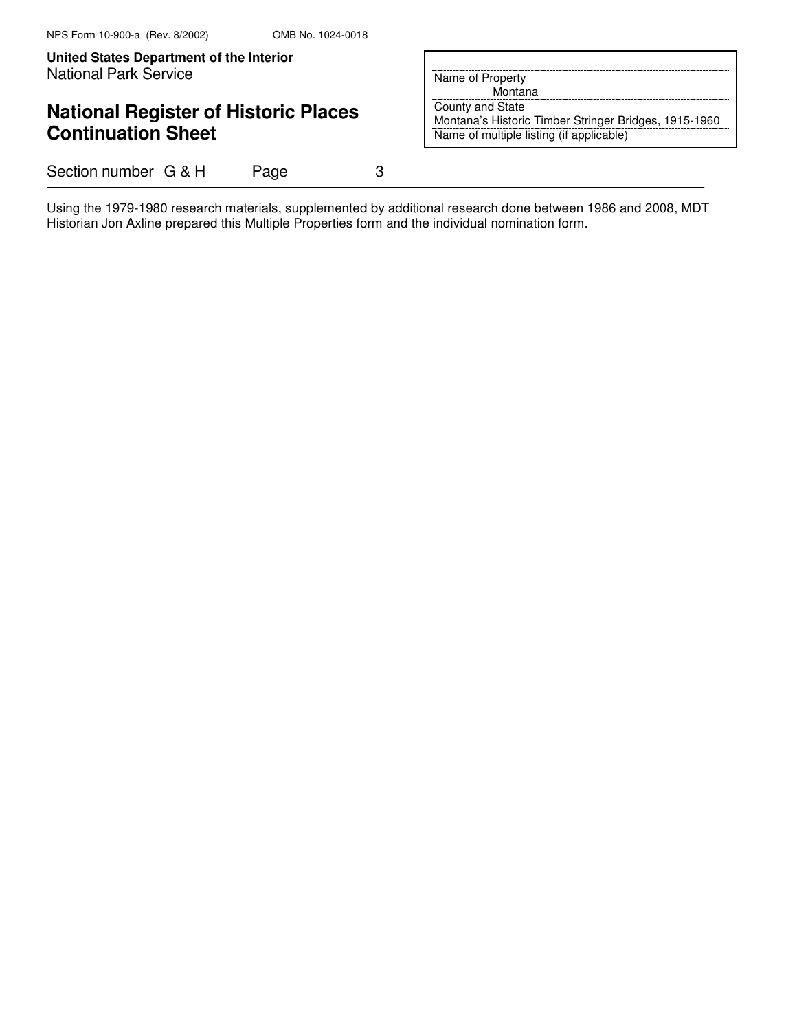**United States Department of the Interior Put Here**  $\sim$  **Put Here**  $\sim$  **Put Here**  $\sim$  **Put Here**  $\sim$  **Put Here**  $\sim$  **Put Here**  $\sim$  **Put Here**  $\sim$  **Put Here**  $\sim$  **Put Here**  $\sim$  **Put Here**  $\sim$  **Put Here**  $\sim$  **Put Here**  $\sim$  **Put Here \sim** National Park Service

# **National Register of Historic Places Continuation Sheet**

Name of Property

Montana

County and State Montana's Historic Timber Stringer Bridges, 1915-1960 Name of multiple listing (if applicable)

Section number G & H Page 3

Using the 1979-1980 research materials, supplemented by additional research done between 1986 and 2008, MDT Historian Jon Axline prepared this Multiple Properties form and the individual nomination form.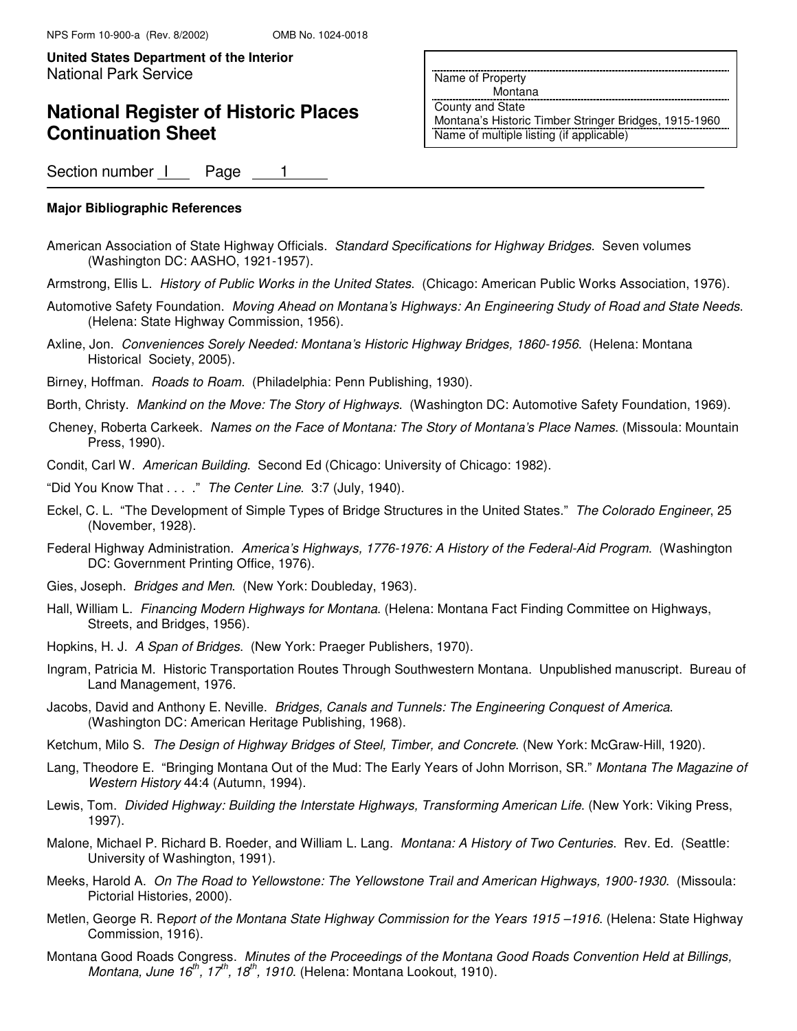# **National Register of Historic Places Continuation Sheet**

Name of Property

Montana

County and State Montana's Historic Timber Stringer Bridges, 1915-1960 Name of multiple listing (if applicable)

Section number 1 Page 1

#### **Major Bibliographic References**

- American Association of State Highway Officials. Standard Specifications for Highway Bridges. Seven volumes (Washington DC: AASHO, 1921-1957).
- Armstrong, Ellis L. History of Public Works in the United States. (Chicago: American Public Works Association, 1976).
- Automotive Safety Foundation. Moving Ahead on Montana's Highways: An Engineering Study of Road and State Needs. (Helena: State Highway Commission, 1956).
- Axline, Jon. Conveniences Sorely Needed: Montana's Historic Highway Bridges, 1860-1956. (Helena: Montana Historical Society, 2005).
- Birney, Hoffman. Roads to Roam. (Philadelphia: Penn Publishing, 1930).
- Borth, Christy. Mankind on the Move: The Story of Highways. (Washington DC: Automotive Safety Foundation, 1969).
- Cheney, Roberta Carkeek. Names on the Face of Montana: The Story of Montana's Place Names. (Missoula: Mountain Press, 1990).
- Condit, Carl W. American Building. Second Ed (Chicago: University of Chicago: 1982).

"Did You Know That . . . ." The Center Line. 3:7 (July, 1940).

- Eckel, C. L. "The Development of Simple Types of Bridge Structures in the United States." The Colorado Engineer, 25 (November, 1928).
- Federal Highway Administration. America's Highways, 1776-1976: A History of the Federal-Aid Program. (Washington DC: Government Printing Office, 1976).
- Gies, Joseph. Bridges and Men. (New York: Doubleday, 1963).
- Hall, William L. Financing Modern Highways for Montana. (Helena: Montana Fact Finding Committee on Highways, Streets, and Bridges, 1956).
- Hopkins, H. J. A Span of Bridges. (New York: Praeger Publishers, 1970).
- Ingram, Patricia M. Historic Transportation Routes Through Southwestern Montana. Unpublished manuscript. Bureau of Land Management, 1976.
- Jacobs, David and Anthony E. Neville. Bridges, Canals and Tunnels: The Engineering Conquest of America. (Washington DC: American Heritage Publishing, 1968).
- Ketchum, Milo S. The Design of Highway Bridges of Steel, Timber, and Concrete. (New York: McGraw-Hill, 1920).
- Lang, Theodore E. "Bringing Montana Out of the Mud: The Early Years of John Morrison, SR." Montana The Magazine of Western History 44:4 (Autumn, 1994).
- Lewis, Tom. Divided Highway: Building the Interstate Highways, Transforming American Life. (New York: Viking Press, 1997).
- Malone, Michael P. Richard B. Roeder, and William L. Lang. Montana: A History of Two Centuries. Rev. Ed. (Seattle: University of Washington, 1991).
- Meeks, Harold A. On The Road to Yellowstone: The Yellowstone Trail and American Highways, 1900-1930. (Missoula: Pictorial Histories, 2000).
- Metlen, George R. Report of the Montana State Highway Commission for the Years 1915 –1916. (Helena: State Highway Commission, 1916).
- Montana Good Roads Congress. Minutes of the Proceedings of the Montana Good Roads Convention Held at Billings, Montana, June  $16^{th}$ ,  $17^{th}$ ,  $18^{th}$ , 1910. (Helena: Montana Lookout, 1910).